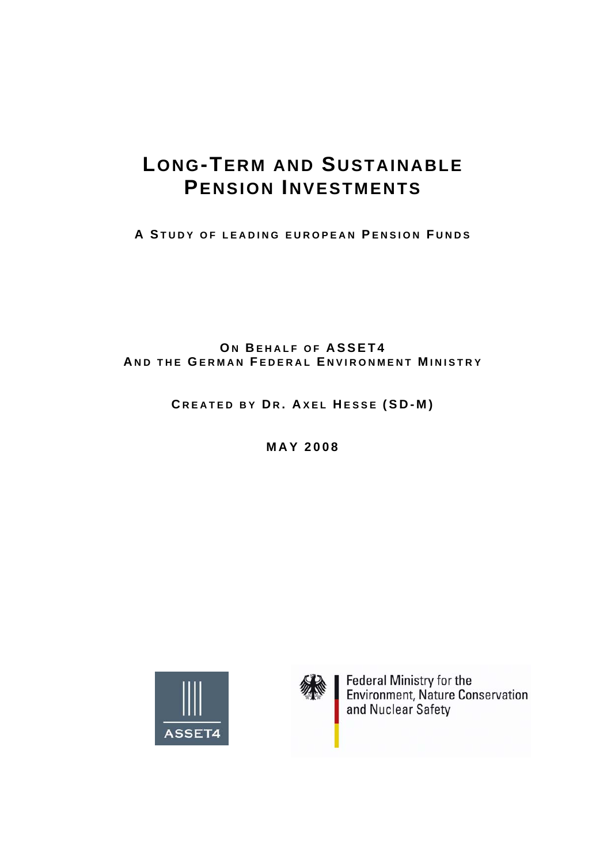# **LONG-TERM AND SUSTAINABLE PENSION INVESTMENTS**

**A STUDY OF LEADING EUROPEAN P ENSION F UNDS**

**ON BEHALF OF ASSET4 A ND THE G ERMAN F EDERAL E NVIRONMENT M INISTRY**

**C REATED BY D R . A XEL H ESSE (SD-M)** 

**MAY 2008** 





Federal Ministry for the<br>Environment, Nature Conservation and Nuclear Safety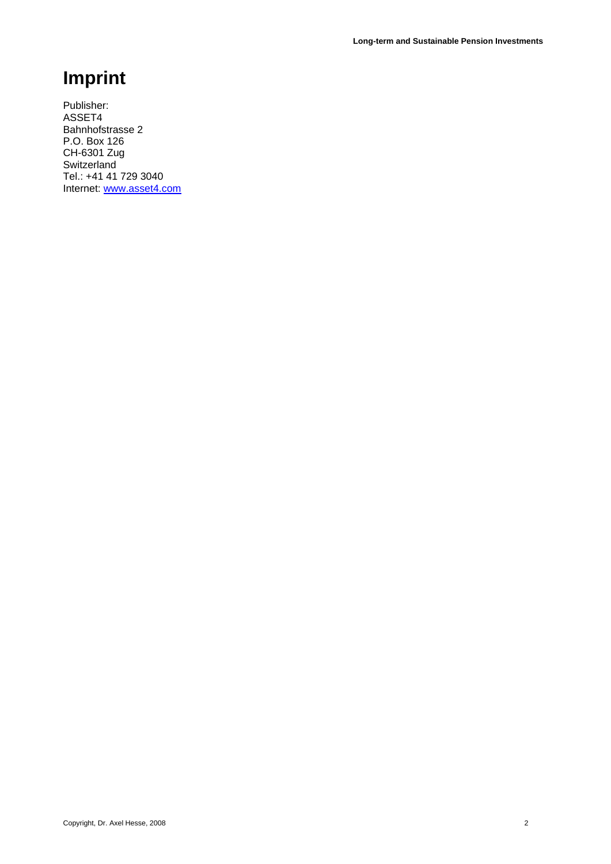# **Imprint**

Publisher: ASSET4 Bahnhofstrasse 2 P.O. Box 126 CH-6301 Zug Switzerland Tel.: +41 41 729 3040 Internet: [www.asset4.com](http://www.asset4.com/)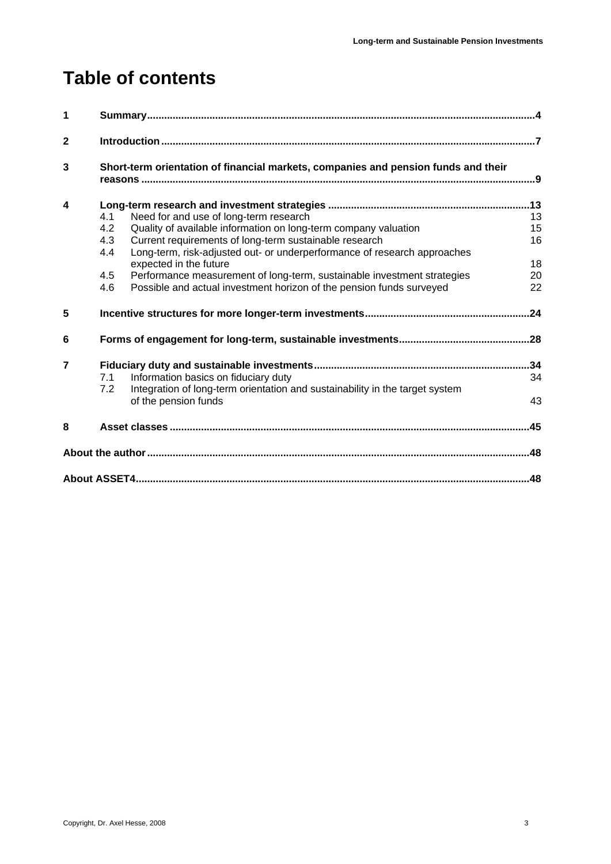# **Table of contents**

| $\blacktriangleleft$ | Short-term orientation of financial markets, companies and pension funds and their |                                                                              |    |  |
|----------------------|------------------------------------------------------------------------------------|------------------------------------------------------------------------------|----|--|
| $\mathbf{2}$         |                                                                                    |                                                                              |    |  |
| 3                    |                                                                                    |                                                                              |    |  |
| 4                    |                                                                                    |                                                                              |    |  |
|                      | 4.1                                                                                | Need for and use of long-term research                                       | 13 |  |
|                      | 4.2                                                                                | Quality of available information on long-term company valuation              | 15 |  |
|                      | 4.3                                                                                | Current requirements of long-term sustainable research                       | 16 |  |
|                      | 4.4                                                                                | Long-term, risk-adjusted out- or underperformance of research approaches     |    |  |
|                      |                                                                                    | expected in the future                                                       | 18 |  |
|                      | 4.5                                                                                | Performance measurement of long-term, sustainable investment strategies      | 20 |  |
|                      | 4.6                                                                                | Possible and actual investment horizon of the pension funds surveyed         | 22 |  |
| 5                    |                                                                                    |                                                                              |    |  |
| 6                    |                                                                                    |                                                                              |    |  |
| $\overline{7}$       |                                                                                    |                                                                              |    |  |
|                      | 7.1                                                                                | Information basics on fiduciary duty                                         | 34 |  |
|                      | 7.2                                                                                | Integration of long-term orientation and sustainability in the target system |    |  |
|                      |                                                                                    | of the pension funds                                                         | 43 |  |
| 8                    |                                                                                    |                                                                              |    |  |
|                      |                                                                                    |                                                                              |    |  |
|                      |                                                                                    |                                                                              |    |  |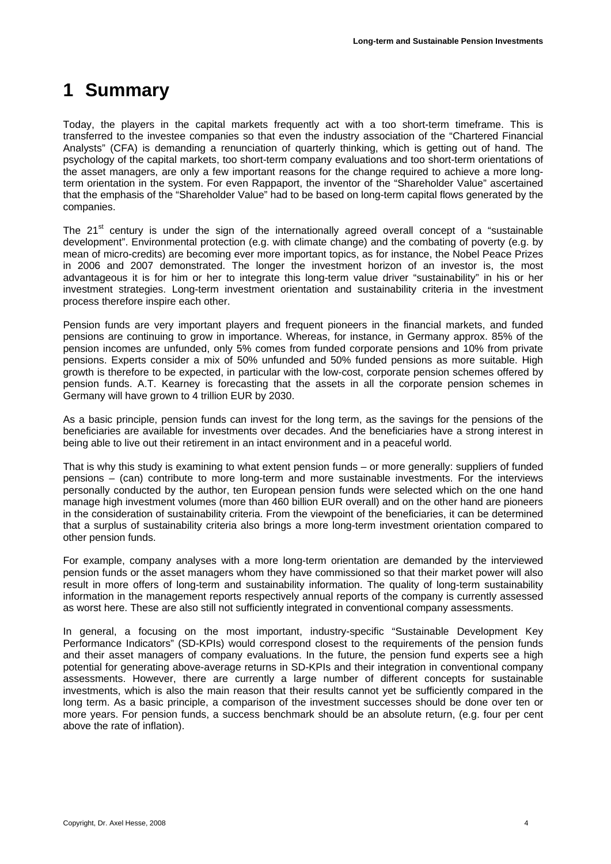## <span id="page-3-0"></span>**1 Summary**

Today, the players in the capital markets frequently act with a too short-term timeframe. This is transferred to the investee companies so that even the industry association of the "Chartered Financial Analysts" (CFA) is demanding a renunciation of quarterly thinking, which is getting out of hand. The psychology of the capital markets, too short-term company evaluations and too short-term orientations of the asset managers, are only a few important reasons for the change required to achieve a more longterm orientation in the system. For even Rappaport, the inventor of the "Shareholder Value" ascertained that the emphasis of the "Shareholder Value" had to be based on long-term capital flows generated by the companies.

The  $21<sup>st</sup>$  century is under the sign of the internationally agreed overall concept of a "sustainable" development". Environmental protection (e.g. with climate change) and the combating of poverty (e.g. by mean of micro-credits) are becoming ever more important topics, as for instance, the Nobel Peace Prizes in 2006 and 2007 demonstrated. The longer the investment horizon of an investor is, the most advantageous it is for him or her to integrate this long-term value driver "sustainability" in his or her investment strategies. Long-term investment orientation and sustainability criteria in the investment process therefore inspire each other.

Pension funds are very important players and frequent pioneers in the financial markets, and funded pensions are continuing to grow in importance. Whereas, for instance, in Germany approx. 85% of the pension incomes are unfunded, only 5% comes from funded corporate pensions and 10% from private pensions. Experts consider a mix of 50% unfunded and 50% funded pensions as more suitable. High growth is therefore to be expected, in particular with the low-cost, corporate pension schemes offered by pension funds. A.T. Kearney is forecasting that the assets in all the corporate pension schemes in Germany will have grown to 4 trillion EUR by 2030.

As a basic principle, pension funds can invest for the long term, as the savings for the pensions of the beneficiaries are available for investments over decades. And the beneficiaries have a strong interest in being able to live out their retirement in an intact environment and in a peaceful world.

That is why this study is examining to what extent pension funds – or more generally: suppliers of funded pensions – (can) contribute to more long-term and more sustainable investments. For the interviews personally conducted by the author, ten European pension funds were selected which on the one hand manage high investment volumes (more than 460 billion EUR overall) and on the other hand are pioneers in the consideration of sustainability criteria. From the viewpoint of the beneficiaries, it can be determined that a surplus of sustainability criteria also brings a more long-term investment orientation compared to other pension funds.

For example, company analyses with a more long-term orientation are demanded by the interviewed pension funds or the asset managers whom they have commissioned so that their market power will also result in more offers of long-term and sustainability information. The quality of long-term sustainability information in the management reports respectively annual reports of the company is currently assessed as worst here. These are also still not sufficiently integrated in conventional company assessments.

In general, a focusing on the most important, industry-specific "Sustainable Development Key Performance Indicators" (SD-KPIs) would correspond closest to the requirements of the pension funds and their asset managers of company evaluations. In the future, the pension fund experts see a high potential for generating above-average returns in SD-KPIs and their integration in conventional company assessments. However, there are currently a large number of different concepts for sustainable investments, which is also the main reason that their results cannot yet be sufficiently compared in the long term. As a basic principle, a comparison of the investment successes should be done over ten or more years. For pension funds, a success benchmark should be an absolute return, (e.g. four per cent above the rate of inflation).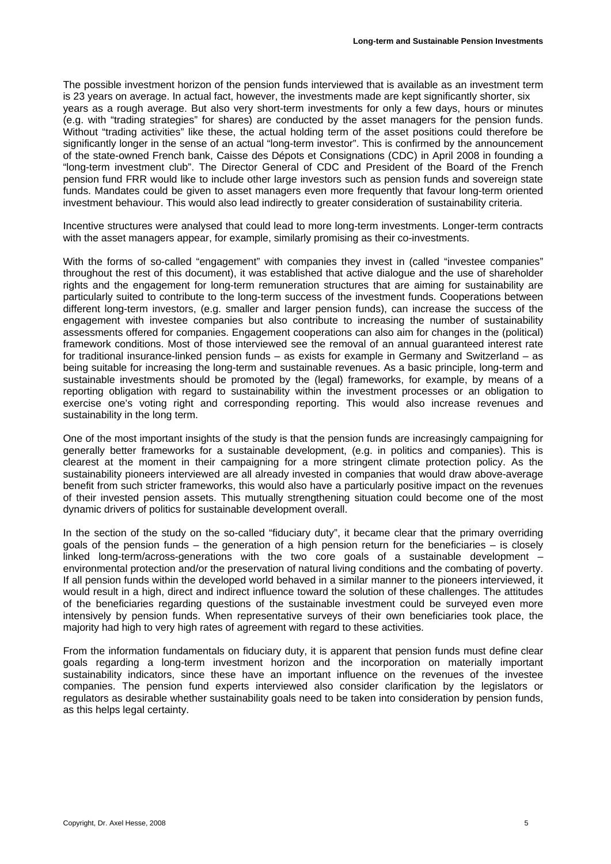The possible investment horizon of the pension funds interviewed that is available as an investment term is 23 years on average. In actual fact, however, the investments made are kept significantly shorter, six years as a rough average. But also very short-term investments for only a few days, hours or minutes (e.g. with "trading strategies" for shares) are conducted by the asset managers for the pension funds. Without "trading activities" like these, the actual holding term of the asset positions could therefore be significantly longer in the sense of an actual "long-term investor". This is confirmed by the announcement of the state-owned French bank, Caisse des Dépots et Consignations (CDC) in April 2008 in founding a "long-term investment club". The Director General of CDC and President of the Board of the French pension fund FRR would like to include other large investors such as pension funds and sovereign state funds. Mandates could be given to asset managers even more frequently that favour long-term oriented investment behaviour. This would also lead indirectly to greater consideration of sustainability criteria.

Incentive structures were analysed that could lead to more long-term investments. Longer-term contracts with the asset managers appear, for example, similarly promising as their co-investments.

With the forms of so-called "engagement" with companies they invest in (called "investee companies" throughout the rest of this document), it was established that active dialogue and the use of shareholder rights and the engagement for long-term remuneration structures that are aiming for sustainability are particularly suited to contribute to the long-term success of the investment funds. Cooperations between different long-term investors, (e.g. smaller and larger pension funds), can increase the success of the engagement with investee companies but also contribute to increasing the number of sustainability assessments offered for companies. Engagement cooperations can also aim for changes in the (political) framework conditions. Most of those interviewed see the removal of an annual guaranteed interest rate for traditional insurance-linked pension funds – as exists for example in Germany and Switzerland – as being suitable for increasing the long-term and sustainable revenues. As a basic principle, long-term and sustainable investments should be promoted by the (legal) frameworks, for example, by means of a reporting obligation with regard to sustainability within the investment processes or an obligation to exercise one's voting right and corresponding reporting. This would also increase revenues and sustainability in the long term.

One of the most important insights of the study is that the pension funds are increasingly campaigning for generally better frameworks for a sustainable development, (e.g. in politics and companies). This is clearest at the moment in their campaigning for a more stringent climate protection policy. As the sustainability pioneers interviewed are all already invested in companies that would draw above-average benefit from such stricter frameworks, this would also have a particularly positive impact on the revenues of their invested pension assets. This mutually strengthening situation could become one of the most dynamic drivers of politics for sustainable development overall.

In the section of the study on the so-called "fiduciary duty", it became clear that the primary overriding goals of the pension funds – the generation of a high pension return for the beneficiaries – is closely linked long-term/across-generations with the two core goals of a sustainable development – environmental protection and/or the preservation of natural living conditions and the combating of poverty. If all pension funds within the developed world behaved in a similar manner to the pioneers interviewed, it would result in a high, direct and indirect influence toward the solution of these challenges. The attitudes of the beneficiaries regarding questions of the sustainable investment could be surveyed even more intensively by pension funds. When representative surveys of their own beneficiaries took place, the majority had high to very high rates of agreement with regard to these activities.

From the information fundamentals on fiduciary duty, it is apparent that pension funds must define clear goals regarding a long-term investment horizon and the incorporation on materially important sustainability indicators, since these have an important influence on the revenues of the investee companies. The pension fund experts interviewed also consider clarification by the legislators or regulators as desirable whether sustainability goals need to be taken into consideration by pension funds, as this helps legal certainty.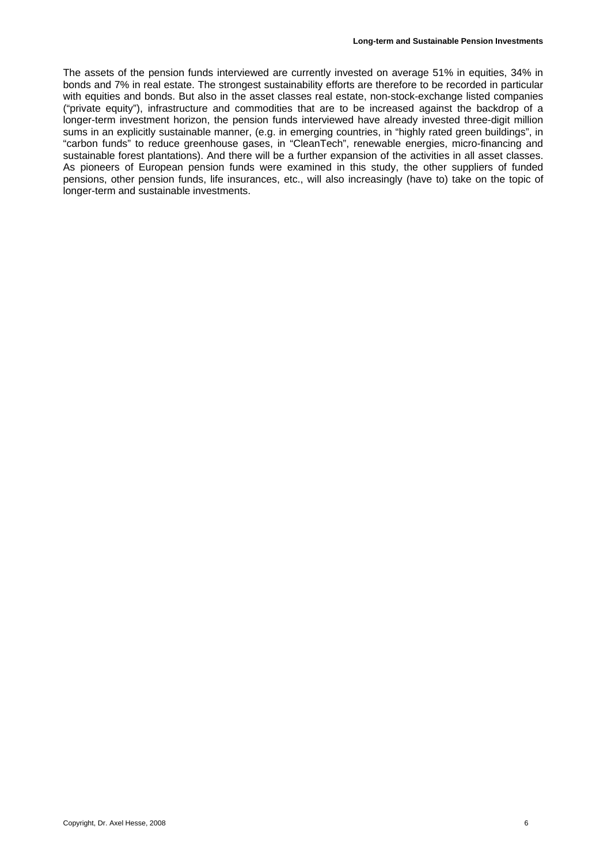The assets of the pension funds interviewed are currently invested on average 51% in equities, 34% in bonds and 7% in real estate. The strongest sustainability efforts are therefore to be recorded in particular with equities and bonds. But also in the asset classes real estate, non-stock-exchange listed companies ("private equity"), infrastructure and commodities that are to be increased against the backdrop of a longer-term investment horizon, the pension funds interviewed have already invested three-digit million sums in an explicitly sustainable manner, (e.g. in emerging countries, in "highly rated green buildings", in "carbon funds" to reduce greenhouse gases, in "CleanTech", renewable energies, micro-financing and sustainable forest plantations). And there will be a further expansion of the activities in all asset classes. As pioneers of European pension funds were examined in this study, the other suppliers of funded pensions, other pension funds, life insurances, etc., will also increasingly (have to) take on the topic of longer-term and sustainable investments.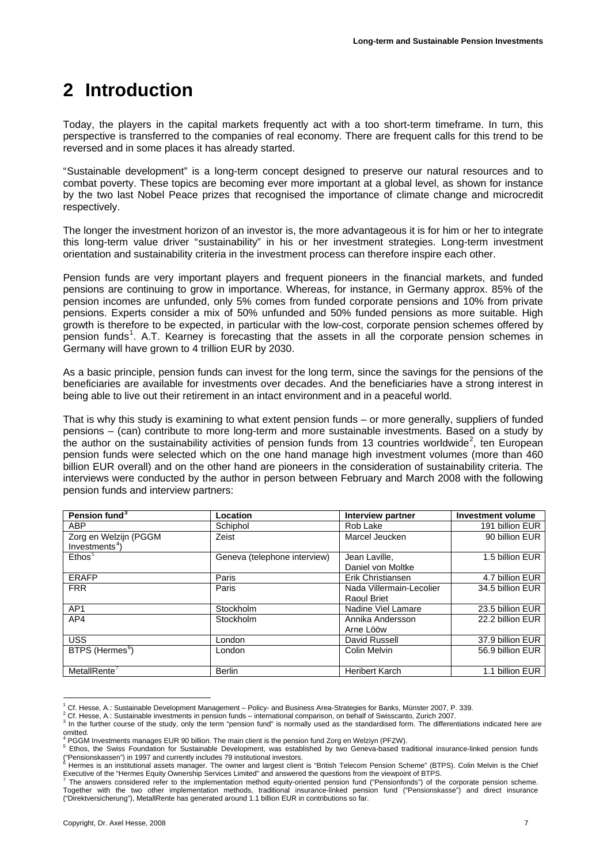## <span id="page-6-0"></span>**2 Introduction**

Today, the players in the capital markets frequently act with a too short-term timeframe. In turn, this perspective is transferred to the companies of real economy. There are frequent calls for this trend to be reversed and in some places it has already started.

"Sustainable development" is a long-term concept designed to preserve our natural resources and to combat poverty. These topics are becoming ever more important at a global level, as shown for instance by the two last Nobel Peace prizes that recognised the importance of climate change and microcredit respectively.

The longer the investment horizon of an investor is, the more advantageous it is for him or her to integrate this long-term value driver "sustainability" in his or her investment strategies. Long-term investment orientation and sustainability criteria in the investment process can therefore inspire each other.

Pension funds are very important players and frequent pioneers in the financial markets, and funded pensions are continuing to grow in importance. Whereas, for instance, in Germany approx. 85% of the pension incomes are unfunded, only 5% comes from funded corporate pensions and 10% from private pensions. Experts consider a mix of 50% unfunded and 50% funded pensions as more suitable. High growth is therefore to be expected, in particular with the low-cost, corporate pension schemes offered by pension funds<sup>[1](#page-6-1)</sup>. A.T. Kearney is forecasting that the assets in all the corporate pension schemes in Germany will have grown to 4 trillion EUR by 2030.

As a basic principle, pension funds can invest for the long term, since the savings for the pensions of the beneficiaries are available for investments over decades. And the beneficiaries have a strong interest in being able to live out their retirement in an intact environment and in a peaceful world.

That is why this study is examining to what extent pension funds – or more generally, suppliers of funded pensions – (can) contribute to more long-term and more sustainable investments. Based on a study by the author on the sustainability activities of pension funds from 13 countries worldwide<sup>[2](#page-6-2)</sup>, ten European pension funds were selected which on the one hand manage high investment volumes (more than 460 billion EUR overall) and on the other hand are pioneers in the consideration of sustainability criteria. The interviews were conducted by the author in person between February and March 2008 with the following pension funds and interview partners:

| Pension fund <sup>3</sup>                         | Location                     | <b>Interview partner</b>                       | <b>Investment volume</b> |
|---------------------------------------------------|------------------------------|------------------------------------------------|--------------------------|
| <b>ABP</b>                                        | Schiphol                     | Rob Lake                                       | 191 billion EUR          |
| Zorg en Welzijn (PGGM<br>Investments <sup>4</sup> | Zeist                        | Marcel Jeucken                                 | 90 billion EUR           |
| Ethos <sup>5</sup>                                | Geneva (telephone interview) | Jean Laville.<br>Daniel von Moltke             | 1.5 billion EUR          |
| <b>ERAFP</b>                                      | Paris                        | Erik Christiansen                              | 4.7 billion EUR          |
| <b>FRR</b>                                        | Paris                        | Nada Villermain-Lecolier<br><b>Raoul Briet</b> | 34.5 billion EUR         |
| AP <sub>1</sub>                                   | Stockholm                    | Nadine Viel Lamare                             | 23.5 billion EUR         |
| AP4                                               | Stockholm                    | Annika Andersson<br>Arne Lööw                  | 22.2 billion EUR         |
| <b>USS</b>                                        | London                       | David Russell                                  | 37.9 billion EUR         |
| BTPS (Hermes <sup>6</sup> )                       | London                       | Colin Melvin                                   | 56.9 billion EUR         |
| MetallRente <sup>7</sup>                          | <b>Berlin</b>                | <b>Heribert Karch</b>                          | 1.1 billion EUR          |

<sup>&</sup>lt;u>.</u> 1 Cf. Hesse, A.: Sustainable Development Management – Policy- and Business Area-Strategies for Banks, Münster 2007, P. 339. 2

<sup>&</sup>lt;sup>2</sup> Cf. Hesse, A.: Sustainable investments in pension funds – international comparison, on behalf of Swisscanto, Zurich 2007.

<span id="page-6-3"></span><span id="page-6-2"></span><span id="page-6-1"></span>In the further course of the study, only the term "pension fund" is normally used as the standardised form. The differentiations indicated here are omitted.

<sup>4</sup> PGGM Investments manages EUR 90 billion. The main client is the pension fund Zorg en Welziyn (PFZW).

<span id="page-6-6"></span><span id="page-6-5"></span><span id="page-6-4"></span><sup>&</sup>lt;sup>5</sup> Ethos, the Swiss Foundation for Sustainable Development, was established by two Geneva-based traditional insurance-linked pension funds ("Pensionskassen") in 1997 and currently includes 79 institutional investors. 6

Hermes is an institutional assets manager. The owner and largest client is "British Telecom Pension Scheme" (BTPS). Colin Melvin is the Chief Executive of the "Hermes Equity Ownership Services Limited" and answered the questions from the viewpoint of BTPS. 7

<span id="page-6-7"></span>The answers considered refer to the implementation method equity-oriented pension fund ("Pensionfonds") of the corporate pension scheme. Together with the two other implementation methods, traditional insurance-linked pension fund ("Pensionskasse") and direct insurance ("Direktversicherung"), MetallRente has generated around 1.1 billion EUR in contributions so far.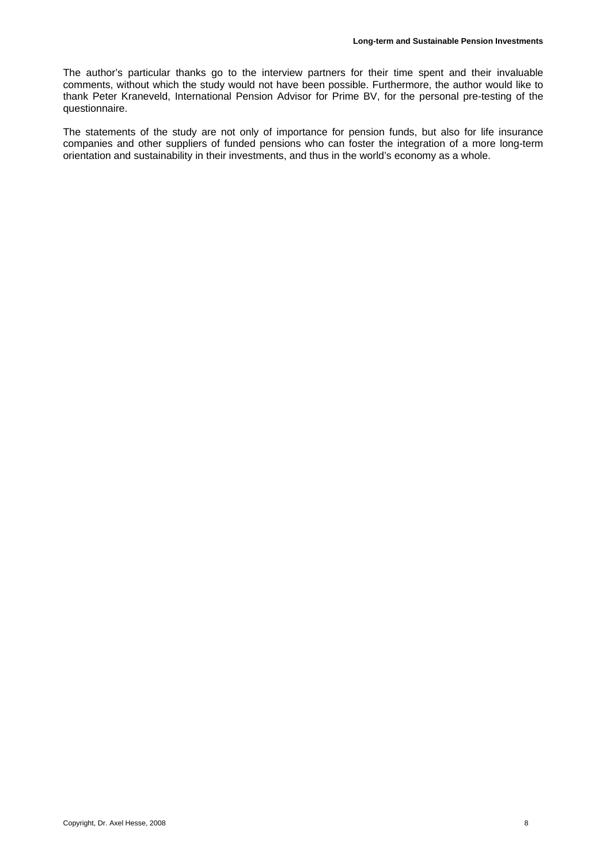The author's particular thanks go to the interview partners for their time spent and their invaluable comments, without which the study would not have been possible. Furthermore, the author would like to thank Peter Kraneveld, International Pension Advisor for Prime BV, for the personal pre-testing of the questionnaire.

The statements of the study are not only of importance for pension funds, but also for life insurance companies and other suppliers of funded pensions who can foster the integration of a more long-term orientation and sustainability in their investments, and thus in the world's economy as a whole.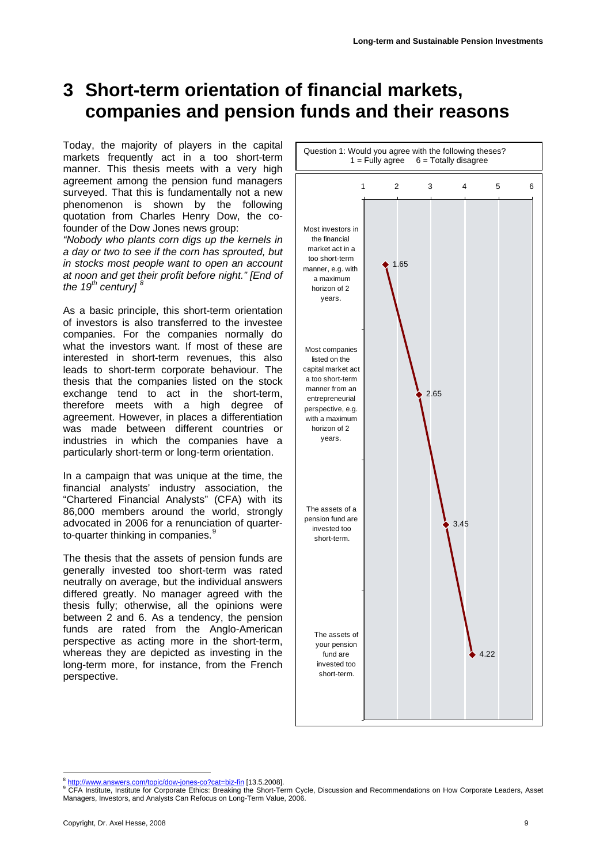## <span id="page-8-0"></span>**3 Short-term orientation of financial markets, companies and pension funds and their reasons**

Today, the majority of players in the capital markets frequently act in a too short-term manner. This thesis meets with a very high agreement among the pension fund managers surveyed. That this is fundamentally not a new phenomenon is shown by the following quotation from Charles Henry Dow, the cofounder of the Dow Jones news group:

*"Nobody who plants corn digs up the kernels in a day or two to see if the corn has sprouted, but in stocks most people want to open an account at noon and get their profit before night." [End of the 19th century] [8](#page-8-1)*

As a basic principle, this short-term orientation of investors is also transferred to the investee companies. For the companies normally do what the investors want. If most of these are interested in short-term revenues, this also leads to short-term corporate behaviour. The thesis that the companies listed on the stock exchange tend to act in the short-term, therefore meets with a high degree of agreement. However, in places a differentiation was made between different countries or industries in which the companies have a particularly short-term or long-term orientation.

In a campaign that was unique at the time, the financial analysts' industry association, the "Chartered Financial Analysts" (CFA) with its 86,000 members around the world, strongly advocated in 2006 for a renunciation of quarter-to-quarter thinking in companies.<sup>[9](#page-8-2)</sup>

The thesis that the assets of pension funds are generally invested too short-term was rated neutrally on average, but the individual answers differed greatly. No manager agreed with the thesis fully; otherwise, all the opinions were between 2 and 6. As a tendency, the pension funds are rated from the Anglo-American perspective as acting more in the short-term, whereas they are depicted as investing in the long-term more, for instance, from the French perspective.



<span id="page-8-1"></span><sup>1</sup> http://www.answers.com/topic/dow-jones-co?cat=biz-fin [13.5.2008].

<span id="page-8-2"></span>CFA Institute, Institute for Corporate Ethics: Breaking the Short-Term Cycle, Discussion and Recommendations on How Corporate Leaders, Asset Managers, Investors, and Analysts Can Refocus on Long-Term Value, 2006.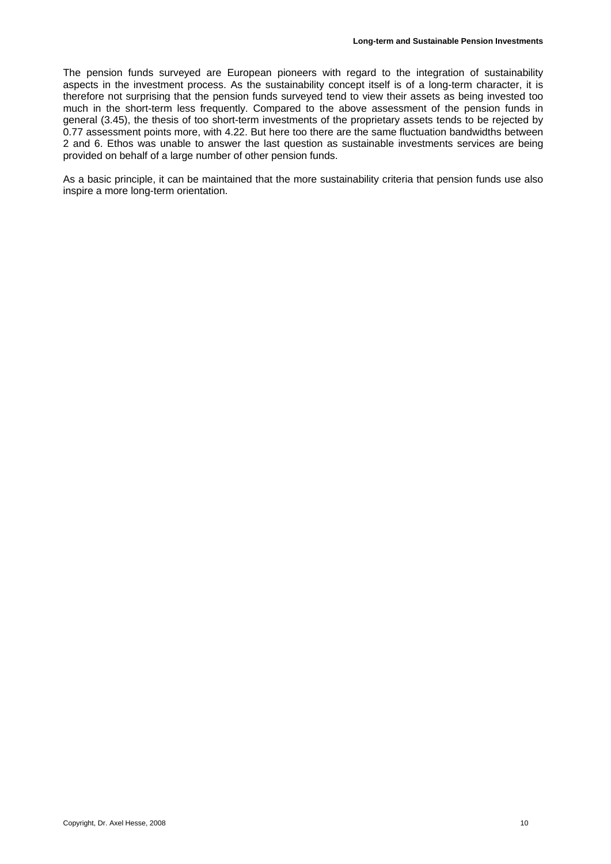The pension funds surveyed are European pioneers with regard to the integration of sustainability aspects in the investment process. As the sustainability concept itself is of a long-term character, it is therefore not surprising that the pension funds surveyed tend to view their assets as being invested too much in the short-term less frequently. Compared to the above assessment of the pension funds in general (3.45), the thesis of too short-term investments of the proprietary assets tends to be rejected by 0.77 assessment points more, with 4.22. But here too there are the same fluctuation bandwidths between 2 and 6. Ethos was unable to answer the last question as sustainable investments services are being provided on behalf of a large number of other pension funds.

As a basic principle, it can be maintained that the more sustainability criteria that pension funds use also inspire a more long-term orientation.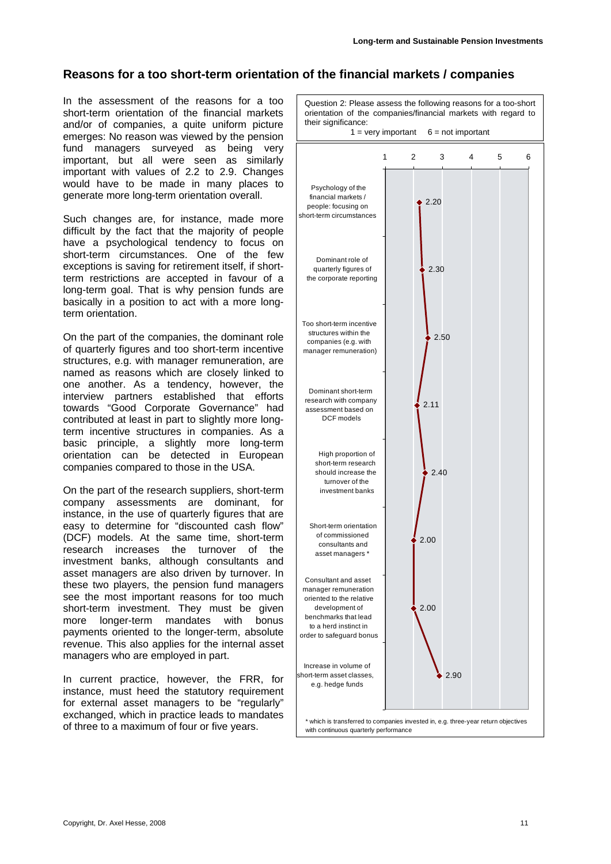#### **Reasons for a too short-term orientation of the financial markets / companies**

In the assessment of the reasons for a too short-term orientation of the financial markets and/or of companies, a quite uniform picture emerges: No reason was viewed by the pension fund managers surveyed as being very important, but all were seen as similarly important with values of 2.2 to 2.9. Changes would have to be made in many places to generate more long-term orientation overall.

Such changes are, for instance, made more difficult by the fact that the majority of people have a psychological tendency to focus on short-term circumstances. One of the few exceptions is saving for retirement itself, if shortterm restrictions are accepted in favour of a long-term goal. That is why pension funds are basically in a position to act with a more longterm orientation.

On the part of the companies, the dominant role of quarterly figures and too short-term incentive structures, e.g. with manager remuneration, are named as reasons which are closely linked to one another. As a tendency, however, the interview partners established that efforts towards "Good Corporate Governance" had contributed at least in part to slightly more longterm incentive structures in companies. As a basic principle, a slightly more long-term orientation can be detected in European companies compared to those in the USA.

On the part of the research suppliers, short-term company assessments are dominant, for instance, in the use of quarterly figures that are easy to determine for "discounted cash flow" (DCF) models. At the same time, short-term research increases the turnover of the investment banks, although consultants and asset managers are also driven by turnover. In these two players, the pension fund managers see the most important reasons for too much short-term investment. They must be given more longer-term mandates with bonus payments oriented to the longer-term, absolute revenue. This also applies for the internal asset managers who are employed in part.

In current practice, however, the FRR, for instance, must heed the statutory requirement for external asset managers to be "regularly" exchanged, which in practice leads to mandates of three to a maximum of four or five years.

Question 2: Please assess the following reasons for a too-short orientation of the companies/financial markets with regard to their significance:  $1 = \text{very important}$  6 = not important 2.20 2.30  $2.50$ 2.11 2.40 2.00 2.00 2.90 123456 Psychology of the financial markets / people: focusing on short-term circumstances Dominant role of quarterly figures of the corporate reporting Too short-term incentive structures within the companies (e.g. with manager remuneration) Dominant short-term research with company assessment based on DCF models High proportion of short-term research should increase the turnover of the investment banks Short-term orientation of commissioned consultants and asset managers \* Consultant and asset manager remuneration oriented to the relative development of benchmarks that lead to a herd instinct in order to safeguard bonus Increase in volume of short-term asset classes, e.g. hedge funds \* which is transferred to companies invested in, e.g. three-year return objectives with continuous quarterly performance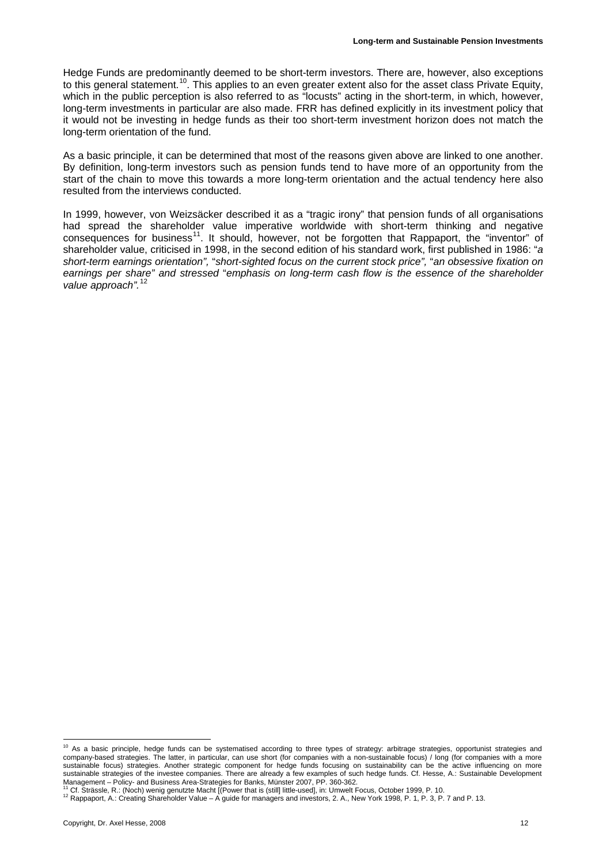Hedge Funds are predominantly deemed to be short-term investors. There are, however, also exceptions to this general statement.<sup>[10](#page-11-0)</sup>. This applies to an even greater extent also for the asset class Private Equity, which in the public perception is also referred to as "locusts" acting in the short-term, in which, however, long-term investments in particular are also made. FRR has defined explicitly in its investment policy that it would not be investing in hedge funds as their too short-term investment horizon does not match the long-term orientation of the fund.

As a basic principle, it can be determined that most of the reasons given above are linked to one another. By definition, long-term investors such as pension funds tend to have more of an opportunity from the start of the chain to move this towards a more long-term orientation and the actual tendency here also resulted from the interviews conducted.

In 1999, however, von Weizsäcker described it as a "tragic irony" that pension funds of all organisations had spread the shareholder value imperative worldwide with short-term thinking and negative consequences for business<sup>[11](#page-11-1)</sup>. It should, however, not be forgotten that Rappaport, the "inventor" of shareholder value, criticised in 1998, in the second edition of his standard work, first published in 1986: "*a short-term earnings orientation",* "*short-sighted focus on the current stock price",* "*an obsessive fixation on earnings per share" and stressed* "*emphasis on long-term cash flow is the essence of the shareholder value approach".*[12](#page-11-2)

<span id="page-11-0"></span><sup>&</sup>lt;sup>10</sup> As a basic principle, hedge funds can be systematised according to three types of strategy: arbitrage strategies, opportunist strategies and company-based strategies. The latter, in particular, can use short (for companies with a non-sustainable focus) / long (for companies with a more sustainable focus) strategies. Another strategic component for hedge funds focusing on sustainability can be the active influencing on more sustainable strategies of the investee companies. There are already a few examples of such hedge funds. Cf. Hesse, A.: Sustainable Development<br>Management – Policy- and Business Area-Strategies for Banks, Münster 2007, PP.

<span id="page-11-2"></span><span id="page-11-1"></span><sup>&</sup>lt;sup>11</sup> Cf. Strässle, R.: (Noch) wenig genutzte Macht [(Power that is (still] little-used], in: Umwelt Focus, October 1999, P. 10.<br><sup>12</sup> Rappaport, A.: Creating Shareholder Value – A guide for managers and investors, 2. A., Ne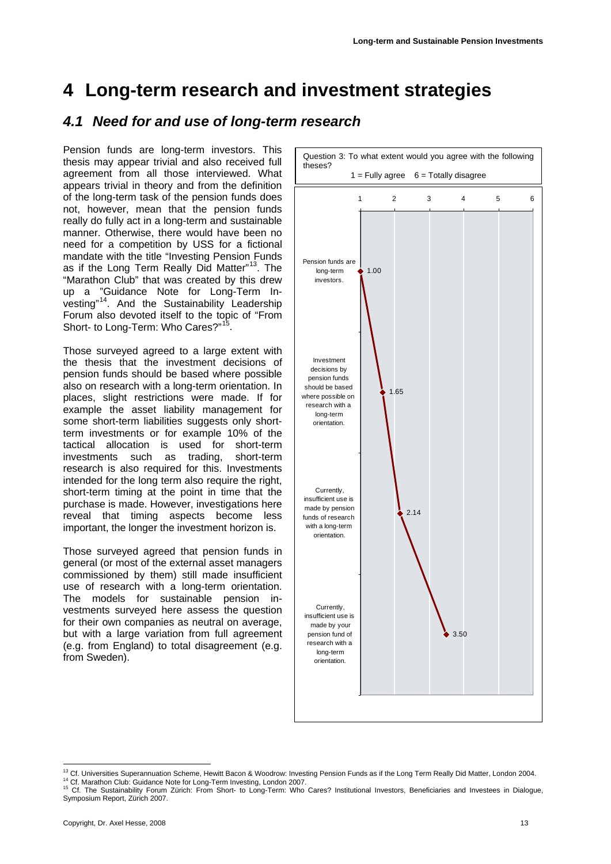## <span id="page-12-1"></span><span id="page-12-0"></span>**4 Long-term research and investment strategies**

### *4.1 Need for and use of long-term research*

Pension funds are long-term investors. This thesis may appear trivial and also received full agreement from all those interviewed. What appears trivial in theory and from the definition of the long-term task of the pension funds does not, however, mean that the pension funds really do fully act in a long-term and sustainable manner. Otherwise, there would have been no need for a competition by USS for a fictional mandate with the title "Investing Pension Funds as if the Long Term Really Did Matter"<sup>[13](#page-12-2)</sup>. The "Marathon Club" that was created by this drew up a "Guidance Note for Long-Term Investing"[14](#page-12-3). And the Sustainability Leadership Forum also devoted itself to the topic of "From Short- to Long-Term: Who Cares?"<sup>15</sup>

Those surveyed agreed to a large extent with the thesis that the investment decisions of pension funds should be based where possible also on research with a long-term orientation. In places, slight restrictions were made. If for example the asset liability management for some short-term liabilities suggests only shortterm investments or for example 10% of the tactical allocation is used for short-term investments such as trading, short-term research is also required for this. Investments intended for the long term also require the right, short-term timing at the point in time that the purchase is made. However, investigations here reveal that timing aspects become less important, the longer the investment horizon is.

Those surveyed agreed that pension funds in general (or most of the external asset managers commissioned by them) still made insufficient use of research with a long-term orientation. The models for sustainable pension investments surveyed here assess the question for their own companies as neutral on average, but with a large variation from full agreement (e.g. from England) to total disagreement (e.g. from Sweden).



<span id="page-12-2"></span><sup>&</sup>lt;sup>13</sup> Cf. Universities Superannuation Scheme, Hewitt Bacon & Woodrow: Investing Pension Funds as if the Long Term Really Did Matter, London 2004.

<span id="page-12-4"></span><span id="page-12-3"></span>

<sup>14</sup> Cf. Marathon Club: Guidance Note for Long-Term Investing, London 2007.<br><sup>14</sup> Cf. Marathon Club: Guidance Note for Long-Term Investing, London 2007.<br><sup>15</sup> Cf. The Sustainability Forum Zürich: From Short- to Long-Term: Who Symposium Report, Zürich 2007.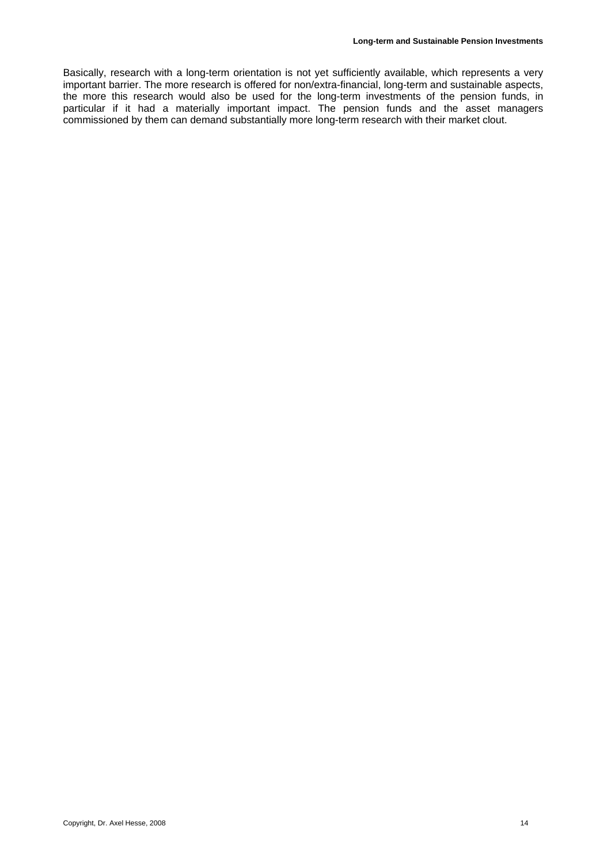Basically, research with a long-term orientation is not yet sufficiently available, which represents a very important barrier. The more research is offered for non/extra-financial, long-term and sustainable aspects, the more this research would also be used for the long-term investments of the pension funds, in particular if it had a materially important impact. The pension funds and the asset managers commissioned by them can demand substantially more long-term research with their market clout.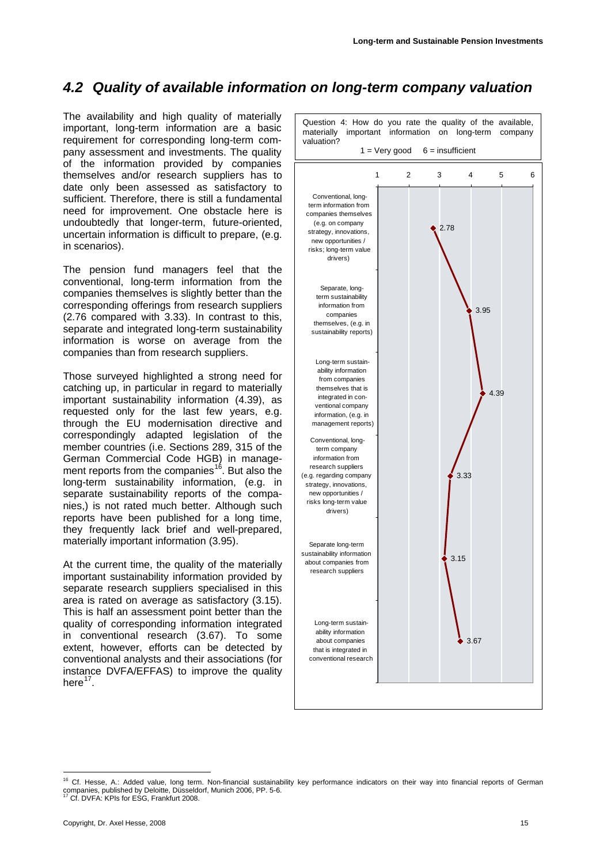### <span id="page-14-0"></span>*4.2 Quality of available information on long-term company valuation*

The availability and high quality of materially important, long-term information are a basic requirement for corresponding long-term company assessment and investments. The quality of the information provided by companies themselves and/or research suppliers has to date only been assessed as satisfactory to sufficient. Therefore, there is still a fundamental need for improvement. One obstacle here is undoubtedly that longer-term, future-oriented, uncertain information is difficult to prepare, (e.g. in scenarios).

The pension fund managers feel that the conventional, long-term information from the companies themselves is slightly better than the corresponding offerings from research suppliers (2.76 compared with 3.33). In contrast to this, separate and integrated long-term sustainability information is worse on average from the companies than from research suppliers.

Those surveyed highlighted a strong need for catching up, in particular in regard to materially important sustainability information (4.39), as requested only for the last few years, e.g. through the EU modernisation directive and correspondingly adapted legislation of the member countries (i.e. Sections 289, 315 of the German Commercial Code HGB) in manage-ment reports from the companies<sup>[16](#page-14-1)</sup>. But also the long-term sustainability information, (e.g. in separate sustainability reports of the companies,) is not rated much better. Although such reports have been published for a long time, they frequently lack brief and well-prepared, materially important information (3.95).

At the current time, the quality of the materially important sustainability information provided by separate research suppliers specialised in this area is rated on average as satisfactory (3.15). This is half an assessment point better than the quality of corresponding information integrated in conventional research (3.67). To some extent, however, efforts can be detected by conventional analysts and their associations (for instance DVFA/EFFAS) to improve the quality here $17$ 



<span id="page-14-1"></span><sup>&</sup>lt;sup>16</sup> Cf. Hesse, A.: Added value, long term. Non-financial sustainability key performance indicators on their way into financial reports of German companies, published by Deloitte, Düsseldorf, Munich 2006, PP. 5-6. 17 Cf. DVFA: KPIs for ESG, Frankfurt 2008.

<span id="page-14-2"></span>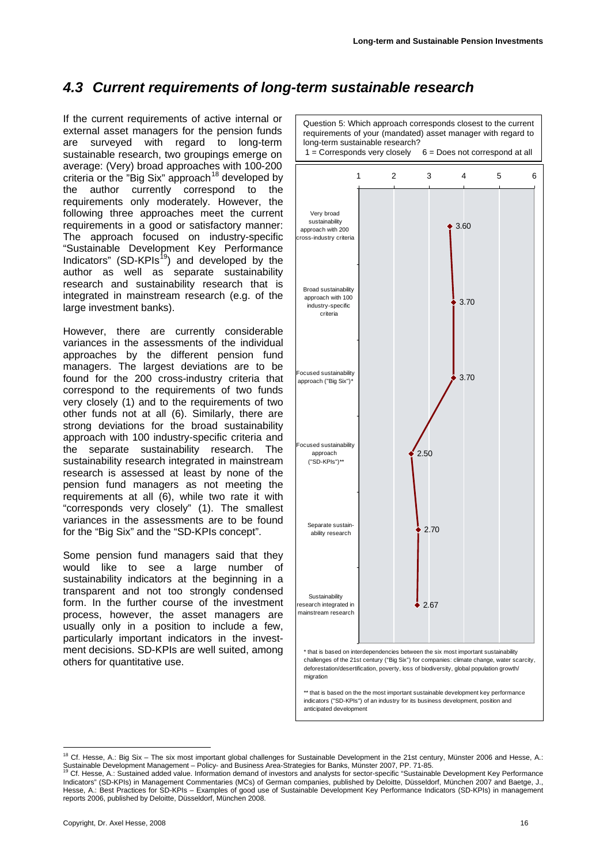### <span id="page-15-0"></span>*4.3 Current requirements of long-term sustainable research*

If the current requirements of active internal or external asset managers for the pension funds are surveyed with regard to long-term sustainable research, two groupings emerge on average: (Very) broad approaches with 100-200 criteria or the "Big Six" approach<sup>[18](#page-15-1)</sup> developed by the author currently correspond to the requirements only moderately. However, the following three approaches meet the current requirements in a good or satisfactory manner: The approach focused on industry-specific "Sustainable Development Key Performance Indicators" (SD-KPIs<sup>[19](#page-15-2)</sup>) and developed by the author as well as separate sustainability research and sustainability research that is integrated in mainstream research (e.g. of the large investment banks).

However, there are currently considerable variances in the assessments of the individual approaches by the different pension fund managers. The largest deviations are to be found for the 200 cross-industry criteria that correspond to the requirements of two funds very closely (1) and to the requirements of two other funds not at all (6). Similarly, there are strong deviations for the broad sustainability approach with 100 industry-specific criteria and the separate sustainability research. The sustainability research integrated in mainstream research is assessed at least by none of the pension fund managers as not meeting the requirements at all (6), while two rate it with "corresponds very closely" (1). The smallest variances in the assessments are to be found for the "Big Six" and the "SD-KPIs concept".

Some pension fund managers said that they would like to see a large number of sustainability indicators at the beginning in a transparent and not too strongly condensed form. In the further course of the investment process, however, the asset managers are usually only in a position to include a few, particularly important indicators in the investment decisions. SD-KPIs are well suited, among others for quantitative use.

Question 5: Which approach corresponds closest to the current requirements of your (mandated) asset manager with regard to long-term sustainable research?<br>1 = Corresponds very closely  $6$  = Does not correspond at all  $\bullet$  3.60 3.70 3.70  $2.50$ 2.70 2.67 123456 Very broad sustainability approach with 200 ross-industry criteria Broad sustainability approach with 100 ...<br>industry-specific criteria Focused sustainability approach ("Big Six")\* Focused sustainability approach ("SD-KPIs")\*\* Separate sustainability research Sustainability research integrated in mainstream research that is based on interdependencies between the six most important sustainability challenges of the 21st century ("Big Six") for companies: climate change, water scarcity, deforestation/desertification, poverty, loss of biodiversity, global population growth/ migration \*\* that is based on the the most important sustainable development key performance indicators ("SD-KPIs") of an industry for its business development, position and

anticipated development

<span id="page-15-1"></span> $18$  Cf. Hesse, A.: Big Six – The six most important global challenges for Sustainable Development in the 21st century, Münster 2006 and Hesse, A.: Sustainable Development Management – Policy- and Business Area-Strategies for Banks, Münster 2007, PP. 71-85.<br><sup>19</sup> Cf. Hesse, A.: Sustained added value. Information demand of investors and analysts for sector-specific "Sus

<span id="page-15-2"></span>Indicators" (SD-KPIs) in Management Commentaries (MCs) of German companies, published by Deloitte, Düsseldorf, München 2007 and Baetge, J., Hesse, A.: Best Practices for SD-KPIs – Examples of good use of Sustainable Development Key Performance Indicators (SD-KPIs) in management reports 2006, published by Deloitte, Düsseldorf, München 2008.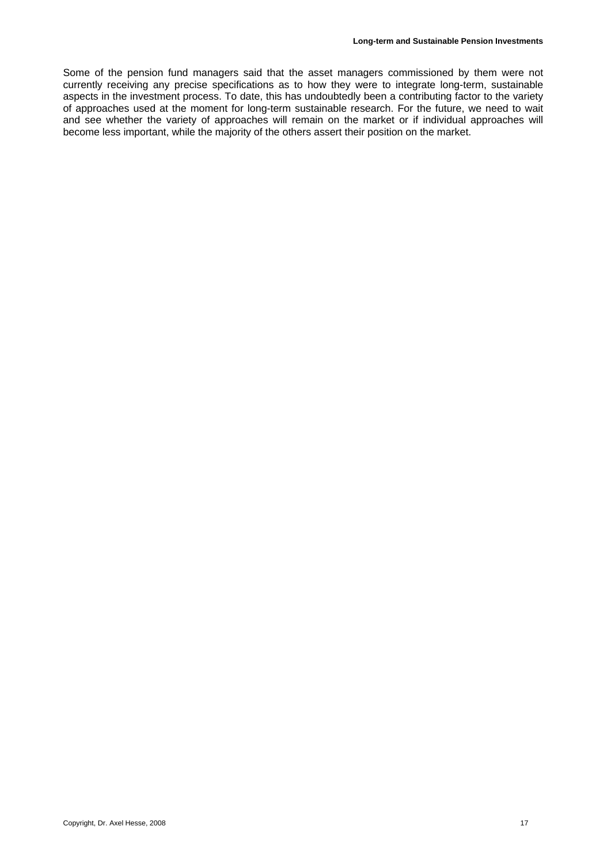Some of the pension fund managers said that the asset managers commissioned by them were not currently receiving any precise specifications as to how they were to integrate long-term, sustainable aspects in the investment process. To date, this has undoubtedly been a contributing factor to the variety of approaches used at the moment for long-term sustainable research. For the future, we need to wait and see whether the variety of approaches will remain on the market or if individual approaches will become less important, while the majority of the others assert their position on the market.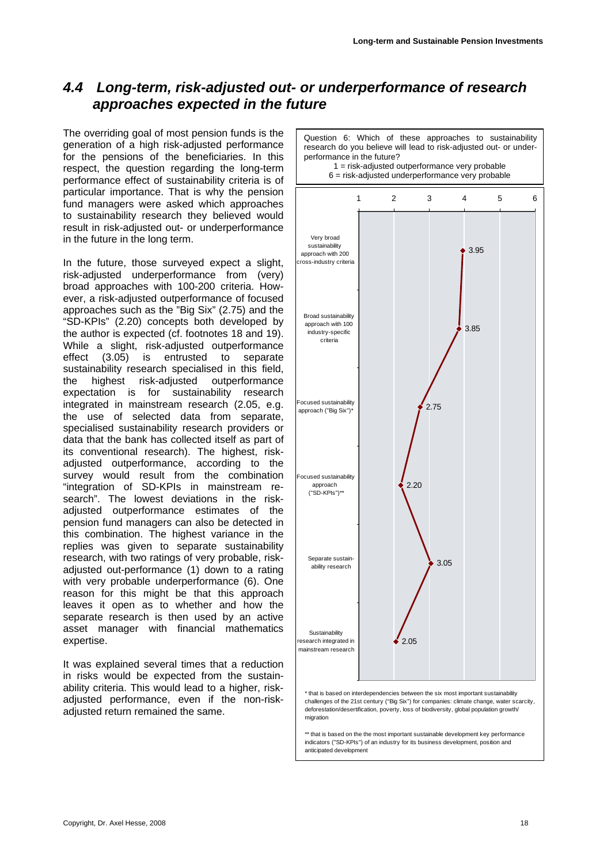### <span id="page-17-0"></span>*4.4 Long-term, risk-adjusted out- or underperformance of research approaches expected in the future*

The overriding goal of most pension funds is the generation of a high risk-adjusted performance for the pensions of the beneficiaries. In this respect, the question regarding the long-term performance effect of sustainability criteria is of particular importance. That is why the pension fund managers were asked which approaches to sustainability research they believed would result in risk-adjusted out- or underperformance in the future in the long term.

In the future, those surveyed expect a slight, risk-adjusted underperformance from (very) broad approaches with 100-200 criteria. However, a risk-adjusted outperformance of focused approaches such as the "Big Six" (2.75) and the "SD-KPIs" (2.20) concepts both developed by the author is expected (cf. footnotes 18 and 19). While a slight, risk-adjusted outperformance effect (3.05) is entrusted to separate sustainability research specialised in this field, the highest risk-adjusted outperformance expectation is for sustainability research integrated in mainstream research (2.05, e.g. the use of selected data from separate, specialised sustainability research providers or data that the bank has collected itself as part of its conventional research). The highest, riskadjusted outperformance, according to the survey would result from the combination "integration of SD-KPIs in mainstream research". The lowest deviations in the riskadjusted outperformance estimates of the pension fund managers can also be detected in this combination. The highest variance in the replies was given to separate sustainability research, with two ratings of very probable, riskadjusted out-performance (1) down to a rating with very probable underperformance (6). One reason for this might be that this approach leaves it open as to whether and how the separate research is then used by an active asset manager with financial mathematics expertise.

It was explained several times that a reduction in risks would be expected from the sustainability criteria. This would lead to a higher, riskadjusted performance, even if the non-riskadjusted return remained the same.



\*\* that is based on the the most important sustainable development key performance indicators ("SD-KPIs") of an industry for its business development, position and anticipated development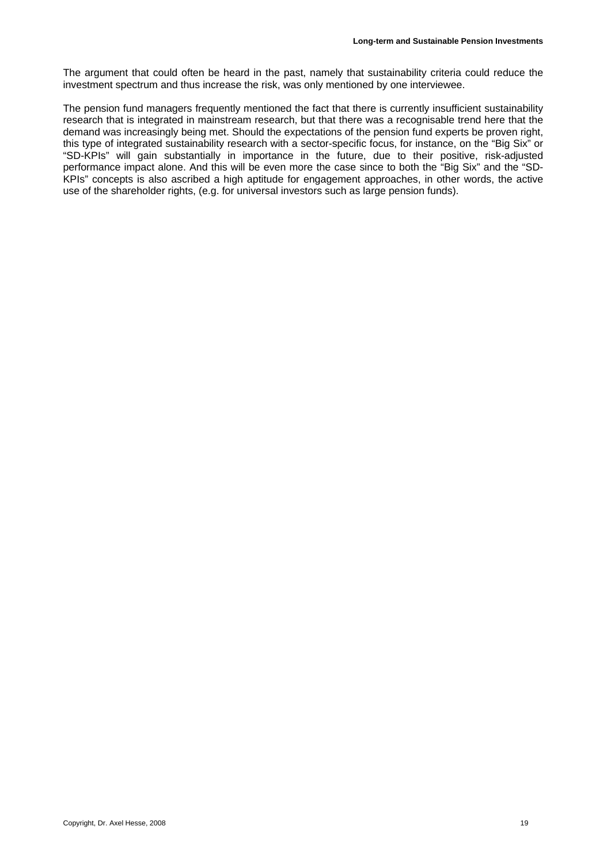The argument that could often be heard in the past, namely that sustainability criteria could reduce the investment spectrum and thus increase the risk, was only mentioned by one interviewee.

The pension fund managers frequently mentioned the fact that there is currently insufficient sustainability research that is integrated in mainstream research, but that there was a recognisable trend here that the demand was increasingly being met. Should the expectations of the pension fund experts be proven right, this type of integrated sustainability research with a sector-specific focus, for instance, on the "Big Six" or "SD-KPIs" will gain substantially in importance in the future, due to their positive, risk-adjusted performance impact alone. And this will be even more the case since to both the "Big Six" and the "SD-KPIs" concepts is also ascribed a high aptitude for engagement approaches, in other words, the active use of the shareholder rights, (e.g. for universal investors such as large pension funds).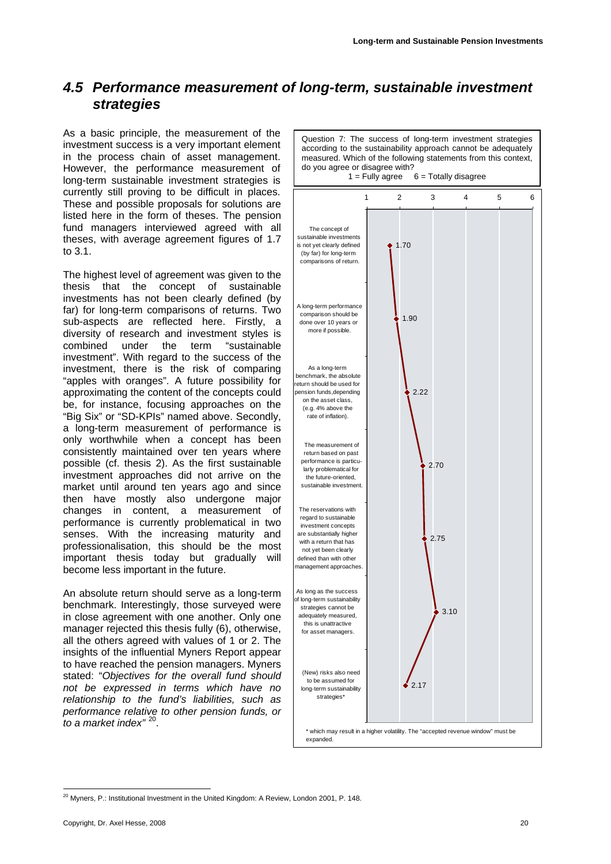### <span id="page-19-0"></span>*4.5 Performance measurement of long-term, sustainable investment strategies*

As a basic principle, the measurement of the investment success is a very important element in the process chain of asset management. However, the performance measurement of long-term sustainable investment strategies is currently still proving to be difficult in places. These and possible proposals for solutions are listed here in the form of theses. The pension fund managers interviewed agreed with all theses, with average agreement figures of 1.7 to 3.1.

The highest level of agreement was given to the thesis that the concept of sustainable investments has not been clearly defined (by far) for long-term comparisons of returns. Two sub-aspects are reflected here. Firstly, a diversity of research and investment styles is combined under the term "sustainable investment". With regard to the success of the investment, there is the risk of comparing "apples with oranges". A future possibility for approximating the content of the concepts could be, for instance, focusing approaches on the "Big Six" or "SD-KPIs" named above. Secondly, a long-term measurement of performance is only worthwhile when a concept has been consistently maintained over ten years where possible (cf. thesis 2). As the first sustainable investment approaches did not arrive on the market until around ten years ago and since then have mostly also undergone major changes in content, a measurement of performance is currently problematical in two senses. With the increasing maturity and professionalisation, this should be the most important thesis today but gradually will become less important in the future.

An absolute return should serve as a long-term benchmark. Interestingly, those surveyed were in close agreement with one another. Only one manager rejected this thesis fully (6), otherwise, all the others agreed with values of 1 or 2. The insights of the influential Myners Report appear to have reached the pension managers. Myners stated: "*Objectives for the overall fund should not be expressed in terms which have no relationship to the fund's liabilities, such as performance relative to other pension funds, or to a market index"* [20](#page-19-1).

Question 7: The success of long-term investment strategies according to the sustainability approach cannot be adequately measured. Which of the following statements from this context, do you agree or disagree with?<br> $1 =$  Fully agree  $6$  = Totally disagree



<span id="page-19-1"></span><sup>1</sup>  $20$  Myners, P.: Institutional Investment in the United Kingdom: A Review, London 2001, P. 148.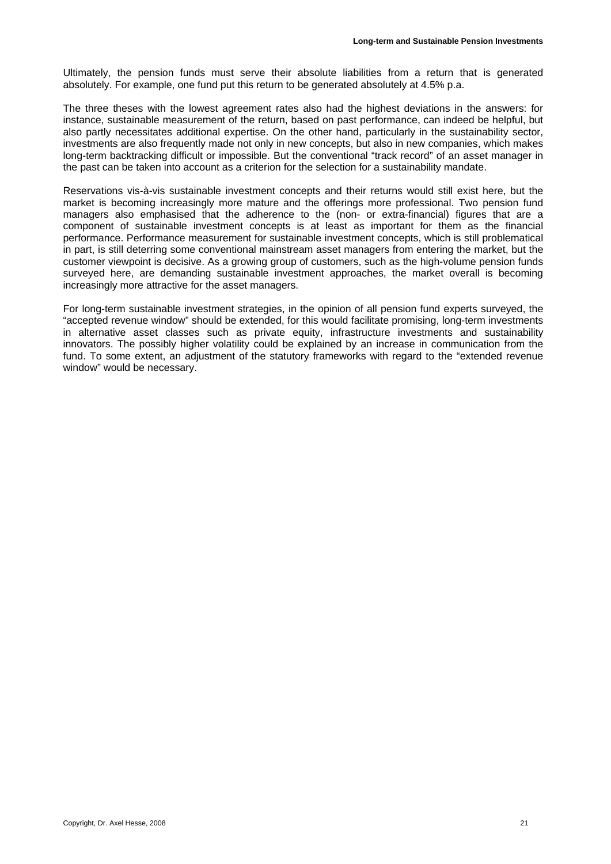Ultimately, the pension funds must serve their absolute liabilities from a return that is generated absolutely. For example, one fund put this return to be generated absolutely at 4.5% p.a.

The three theses with the lowest agreement rates also had the highest deviations in the answers: for instance, sustainable measurement of the return, based on past performance, can indeed be helpful, but also partly necessitates additional expertise. On the other hand, particularly in the sustainability sector, investments are also frequently made not only in new concepts, but also in new companies, which makes long-term backtracking difficult or impossible. But the conventional "track record" of an asset manager in the past can be taken into account as a criterion for the selection for a sustainability mandate.

Reservations vis-à-vis sustainable investment concepts and their returns would still exist here, but the market is becoming increasingly more mature and the offerings more professional. Two pension fund managers also emphasised that the adherence to the (non- or extra-financial) figures that are a component of sustainable investment concepts is at least as important for them as the financial performance. Performance measurement for sustainable investment concepts, which is still problematical in part, is still deterring some conventional mainstream asset managers from entering the market, but the customer viewpoint is decisive. As a growing group of customers, such as the high-volume pension funds surveyed here, are demanding sustainable investment approaches, the market overall is becoming increasingly more attractive for the asset managers.

For long-term sustainable investment strategies, in the opinion of all pension fund experts surveyed, the "accepted revenue window" should be extended, for this would facilitate promising, long-term investments in alternative asset classes such as private equity, infrastructure investments and sustainability innovators. The possibly higher volatility could be explained by an increase in communication from the fund. To some extent, an adjustment of the statutory frameworks with regard to the "extended revenue window" would be necessary.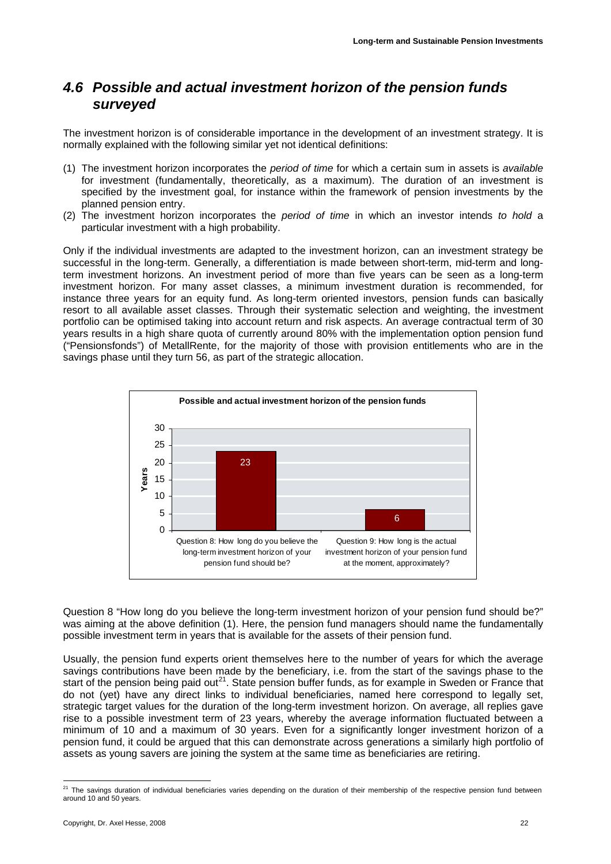### <span id="page-21-2"></span><span id="page-21-0"></span>*4.6 Possible and actual investment horizon of the pension funds surveyed*

The investment horizon is of considerable importance in the development of an investment strategy. It is normally explained with the following similar yet not identical definitions:

- (1) The investment horizon incorporates the *period of time* for which a certain sum in assets is *available* for investment (fundamentally, theoretically, as a maximum). The duration of an investment is specified by the investment goal, for instance within the framework of pension investments by the planned pension entry.
- (2) The investment horizon incorporates the *period of time* in which an investor intends *to hold* a particular investment with a high probability.

Only if the individual investments are adapted to the investment horizon, can an investment strategy be successful in the long-term. Generally, a differentiation is made between short-term, mid-term and longterm investment horizons. An investment period of more than five years can be seen as a long-term investment horizon. For many asset classes, a minimum investment duration is recommended, for instance three years for an equity fund. As long-term oriented investors, pension funds can basically resort to all available asset classes. Through their systematic selection and weighting, the investment portfolio can be optimised taking into account return and risk aspects. An average contractual term of 30 years results in a high share quota of currently around 80% with the implementation option pension fund ("Pensionsfonds") of MetallRente, for the majority of those with provision entitlements who are in the savings phase until they turn 56, as part of the strategic allocation.



Question 8 "How long do you believe the long-term investment horizon of your pension fund should be?" was aiming at the above definition (1). Here, the pension fund managers should name the fundamentally possible investment term in years that is available for the assets of their pension fund.

Usually, the pension fund experts orient themselves here to the number of years for which the average savings contributions have been made by the beneficiary, i.e. from the start of the savings phase to the start of the pension being paid out<sup>[21](#page-21-1)</sup>. State pension buffer funds, as for example in Sweden or France that do not (yet) have any direct links to individual beneficiaries, named here correspond to legally set, strategic target values for the duration of the long-term investment horizon. On average, all replies gave rise to a possible investment term of 23 years, whereby the average information fluctuated between a minimum of 10 and a maximum of 30 years. Even for a significantly longer investment horizon of a pension fund, it could be argued that this can demonstrate across generations a similarly high portfolio of assets as young savers are joining the system at the same time as beneficiaries are retiring.

<span id="page-21-1"></span><sup>&</sup>lt;sup>21</sup> The savings duration of individual beneficiaries varies depending on the duration of their membership of the respective pension fund between around 10 and 50 years.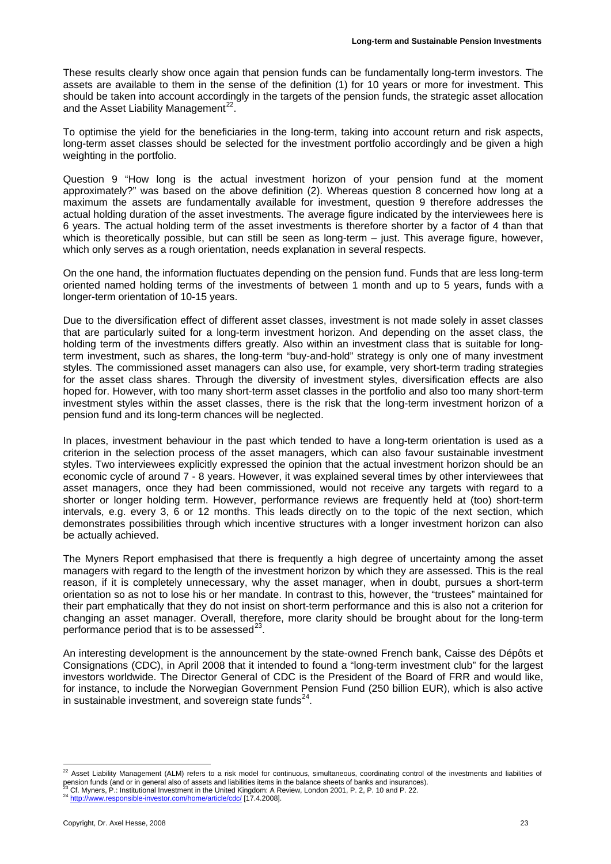These results clearly show once again that pension funds can be fundamentally long-term investors. The assets are available to them in the sense of the definition (1) for 10 years or more for investment. This should be taken into account accordingly in the targets of the pension funds, the strategic asset allocation and the Asset Liability Management<sup>22</sup>.

To optimise the yield for the beneficiaries in the long-term, taking into account return and risk aspects, long-term asset classes should be selected for the investment portfolio accordingly and be given a high weighting in the portfolio.

Question 9 "How long is the actual investment horizon of your pension fund at the moment approximately?" was based on the above definition (2). Whereas question 8 concerned how long at a maximum the assets are fundamentally available for investment, question 9 therefore addresses the actual holding duration of the asset investments. The average figure indicated by the interviewees here is 6 years. The actual holding term of the asset investments is therefore shorter by a factor of 4 than that which is theoretically possible, but can still be seen as long-term – just. This average figure, however, which only serves as a rough orientation, needs explanation in several respects.

On the one hand, the information fluctuates depending on the pension fund. Funds that are less long-term oriented named holding terms of the investments of between 1 month and up to 5 years, funds with a longer-term orientation of 10-15 years.

Due to the diversification effect of different asset classes, investment is not made solely in asset classes that are particularly suited for a long-term investment horizon. And depending on the asset class, the holding term of the investments differs greatly. Also within an investment class that is suitable for longterm investment, such as shares, the long-term "buy-and-hold" strategy is only one of many investment styles. The commissioned asset managers can also use, for example, very short-term trading strategies for the asset class shares. Through the diversity of investment styles, diversification effects are also hoped for. However, with too many short-term asset classes in the portfolio and also too many short-term investment styles within the asset classes, there is the risk that the long-term investment horizon of a pension fund and its long-term chances will be neglected.

In places, investment behaviour in the past which tended to have a long-term orientation is used as a criterion in the selection process of the asset managers, which can also favour sustainable investment styles. Two interviewees explicitly expressed the opinion that the actual investment horizon should be an economic cycle of around 7 - 8 years. However, it was explained several times by other interviewees that asset managers, once they had been commissioned, would not receive any targets with regard to a shorter or longer holding term. However, performance reviews are frequently held at (too) short-term intervals, e.g. every 3, 6 or 12 months. This leads directly on to the topic of the next section, which demonstrates possibilities through which incentive structures with a longer investment horizon can also be actually achieved.

The Myners Report emphasised that there is frequently a high degree of uncertainty among the asset managers with regard to the length of the investment horizon by which they are assessed. This is the real reason, if it is completely unnecessary, why the asset manager, when in doubt, pursues a short-term orientation so as not to lose his or her mandate. In contrast to this, however, the "trustees" maintained for their part emphatically that they do not insist on short-term performance and this is also not a criterion for changing an asset manager. Overall, therefore, more clarity should be brought about for the long-term performance period that is to be assessed $^{23}$  $^{23}$  $^{23}$ .

An interesting development is the announcement by the state-owned French bank, Caisse des Dépôts et Consignations (CDC), in April 2008 that it intended to found a "long-term investment club" for the largest investors worldwide. The Director General of CDC is the President of the Board of FRR and would like, for instance, to include the Norwegian Government Pension Fund (250 billion EUR), which is also active in sustainable investment, and sovereign state funds $^{24}$ .

<span id="page-22-0"></span> $^{22}$  Asset Liability Management (ALM) refers to a risk model for continuous, simultaneous, coordinating control of the investments and liabilities of pension funds (and or in general also of assets and liabilities items in the balance sheets of banks and insurances).<br><sup>23</sup> Cf. Myners, P.: Institutional Investment in the United Kingdom: A Review, London 2001, P. 2, P. 10

<span id="page-22-1"></span>

<span id="page-22-2"></span>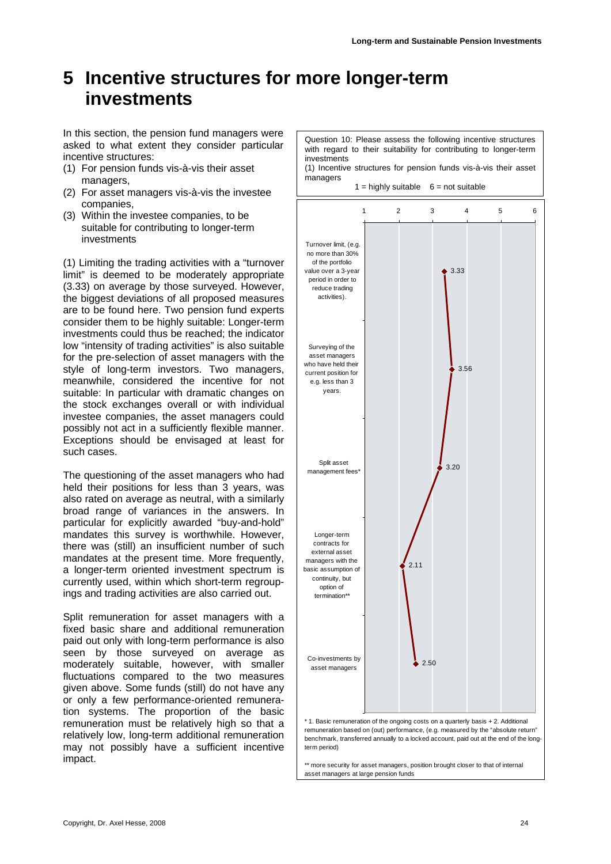# <span id="page-23-0"></span>**5 Incentive structures for more longer-term investments**

In this section, the pension fund managers were asked to what extent they consider particular incentive structures:

- (1) For pension funds vis-à-vis their asset managers,
- (2) For asset managers vis-à-vis the investee companies,
- (3) Within the investee companies, to be suitable for contributing to longer-term investments

(1) Limiting the trading activities with a "turnover limit" is deemed to be moderately appropriate (3.33) on average by those surveyed. However, the biggest deviations of all proposed measures are to be found here. Two pension fund experts consider them to be highly suitable: Longer-term investments could thus be reached; the indicator low "intensity of trading activities" is also suitable for the pre-selection of asset managers with the style of long-term investors. Two managers, meanwhile, considered the incentive for not suitable: In particular with dramatic changes on the stock exchanges overall or with individual investee companies, the asset managers could possibly not act in a sufficiently flexible manner. Exceptions should be envisaged at least for such cases.

The questioning of the asset managers who had held their positions for less than 3 years, was also rated on average as neutral, with a similarly broad range of variances in the answers. In particular for explicitly awarded "buy-and-hold" mandates this survey is worthwhile. However, there was (still) an insufficient number of such mandates at the present time. More frequently, a longer-term oriented investment spectrum is currently used, within which short-term regroupings and trading activities are also carried out.

Split remuneration for asset managers with a fixed basic share and additional remuneration paid out only with long-term performance is also seen by those surveyed on average as moderately suitable, however, with smaller fluctuations compared to the two measures given above. Some funds (still) do not have any or only a few performance-oriented remuneration systems. The proportion of the basic remuneration must be relatively high so that a relatively low, long-term additional remuneration may not possibly have a sufficient incentive impact.

Question 10: Please assess the following incentive structures with regard to their suitability for contributing to longer-term investments (1) Incentive structures for pension funds vis-à-vis their asset

managers

 $1 =$  highly suitable  $6 =$  not suitable



remuneration based on (out) performance, (e.g. measured by the "absolute return" benchmark, transferred annually to a locked account, paid out at the end of the longterm period)

\*\* more security for asset managers, position brought closer to that of internal asset managers at large pension funds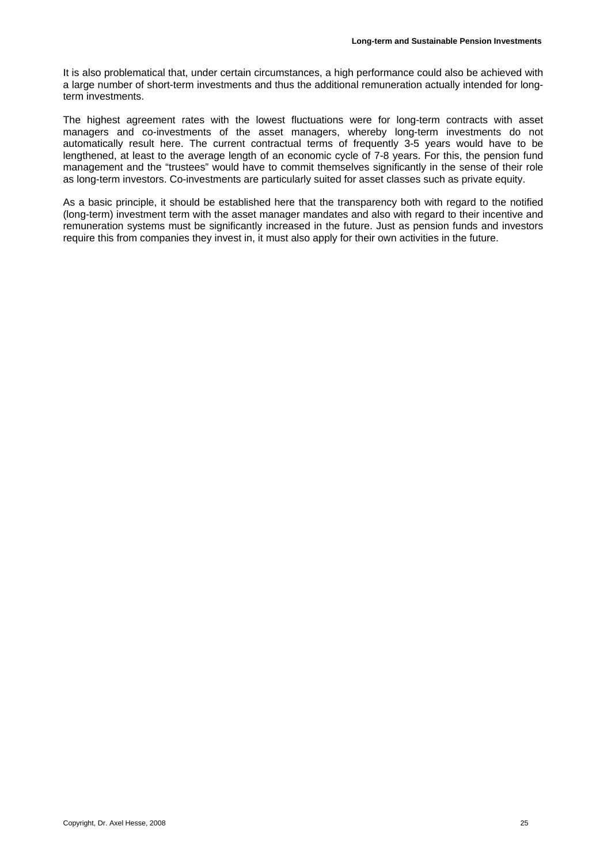It is also problematical that, under certain circumstances, a high performance could also be achieved with a large number of short-term investments and thus the additional remuneration actually intended for longterm investments.

The highest agreement rates with the lowest fluctuations were for long-term contracts with asset managers and co-investments of the asset managers, whereby long-term investments do not automatically result here. The current contractual terms of frequently 3-5 years would have to be lengthened, at least to the average length of an economic cycle of 7-8 years. For this, the pension fund management and the "trustees" would have to commit themselves significantly in the sense of their role as long-term investors. Co-investments are particularly suited for asset classes such as private equity.

As a basic principle, it should be established here that the transparency both with regard to the notified (long-term) investment term with the asset manager mandates and also with regard to their incentive and remuneration systems must be significantly increased in the future. Just as pension funds and investors require this from companies they invest in, it must also apply for their own activities in the future.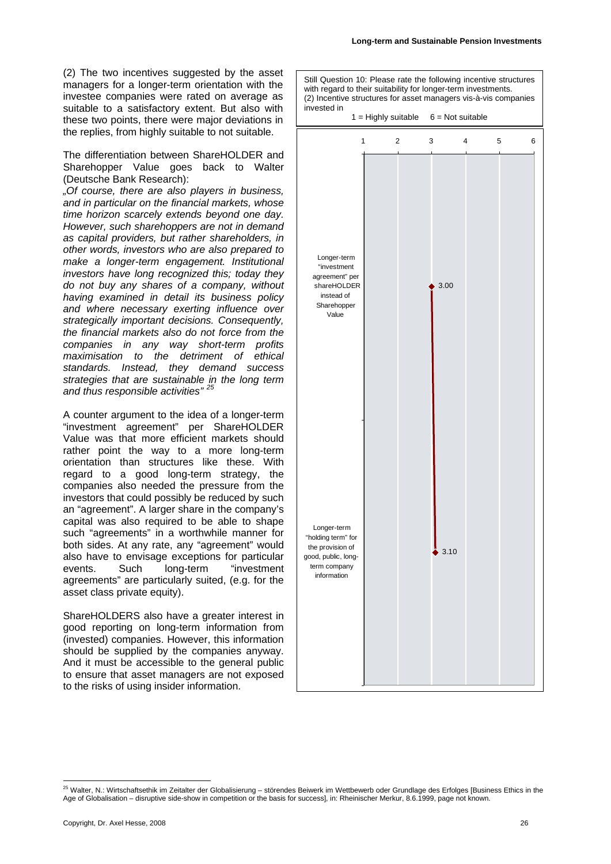Still Question 10: Please rate the following incentive structures with regard to their suitability for longer-term investments. (2) Incentive structures for asset managers vis-à-vis companies

(2) The two incentives suggested by the asset managers for a longer-term orientation with the investee companies were rated on average as suitable to a satisfactory extent. But also with these two points, there were major deviations in the replies, from highly suitable to not suitable.

The differentiation between ShareHOLDER and Sharehopper Value goes back to Walter (Deutsche Bank Research):

*"Of course, there are also players in business, and in particular on the financial markets, whose time horizon scarcely extends beyond one day. However, such sharehoppers are not in demand as capital providers, but rather shareholders, in other words, investors who are also prepared to make a longer-term engagement. Institutional investors have long recognized this; today they do not buy any shares of a company, without having examined in detail its business policy and where necessary exerting influence over strategically important decisions. Consequently, the financial markets also do not force from the companies in any way short-term profits maximisation to the detriment of ethical standards. Instead, they demand success strategies that are sustainable in the long term and thus responsible activities" [25](#page-25-0)*

A counter argument to the idea of a longer-term "investment agreement" per ShareHOLDER Value was that more efficient markets should rather point the way to a more long-term orientation than structures like these. With regard to a good long-term strategy, the companies also needed the pressure from the investors that could possibly be reduced by such an "agreement". A larger share in the company's capital was also required to be able to shape such "agreements" in a worthwhile manner for both sides. At any rate, any "agreement" would also have to envisage exceptions for particular events. Such long-term "investment agreements" are particularly suited, (e.g. for the asset class private equity).

ShareHOLDERS also have a greater interest in good reporting on long-term information from (invested) companies. However, this information should be supplied by the companies anyway. And it must be accessible to the general public to ensure that asset managers are not exposed to the risks of using insider information.

invested in  $1 =$  Highly suitable  $6 =$  Not suitable 3.00  $\frac{1}{2}$  3.10 123456 Longer-term "investment agreement" per shareHOLDER instead of Sharehopper Value Longer-term "holding term" for the provision of good, public, longterm company information

<span id="page-25-0"></span><sup>1</sup> <sup>25</sup> Walter, N.: Wirtschaftsethik im Zeitalter der Globalisierung – störendes Beiwerk im Wettbewerb oder Grundlage des Erfolges [Business Ethics in the Age of Globalisation – disruptive side-show in competition or the basis for success], in: Rheinischer Merkur, 8.6.1999, page not known.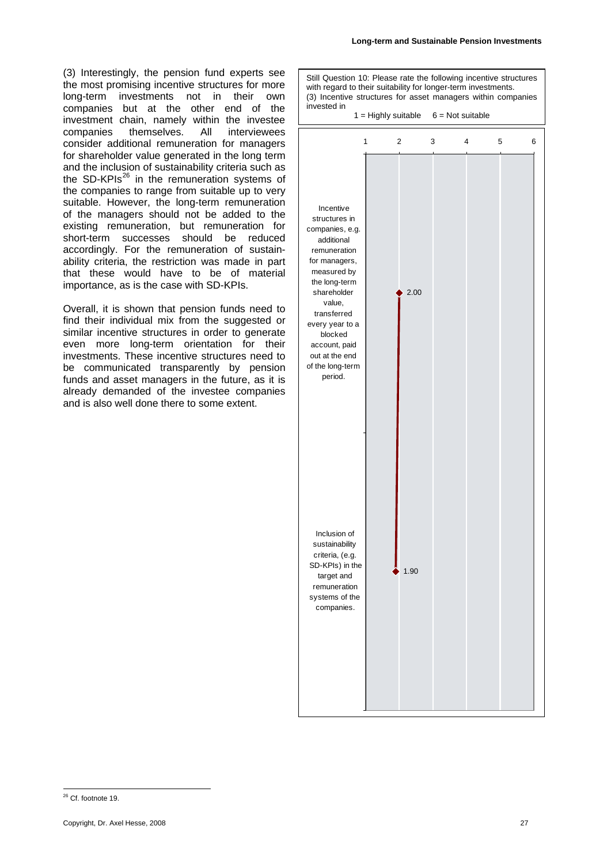(3) Interestingly, the pension fund experts see the most promising incentive structures for more long-term investments not in their own companies but at the other end of the investment chain, namely within the investee companies themselves. All interviewees consider additional remuneration for managers for shareholder value generated in the long term and the inclusion of sustainability criteria such as the SD-KPIs<sup>26</sup> in the remuneration systems of the companies to range from suitable up to very suitable. However, the long-term remuneration of the managers should not be added to the existing remuneration, but remuneration for short-term successes should be reduced accordingly. For the remuneration of sustainability criteria, the restriction was made in part that these would have to be of material importance, as is the case with SD-KPIs.

Overall, it is shown that pension funds need to find their individual mix from the suggested or similar incentive structures in order to generate even more long-term orientation for their investments. These incentive structures need to be communicated transparently by pension funds and asset managers in the future, as it is already demanded of the investee companies and is also well done there to some extent.



<span id="page-26-0"></span><sup>1</sup>  $26$  Cf. footnote 19.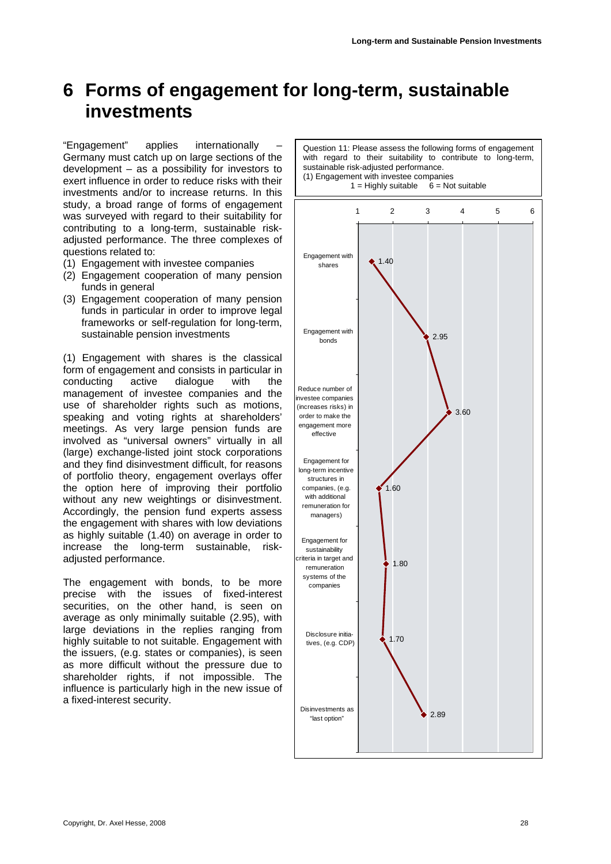# <span id="page-27-1"></span><span id="page-27-0"></span>**6 Forms of engagement for long-term, sustainable investments**

"Engagement" applies internationally – Germany must catch up on large sections of the development – as a possibility for investors to exert influence in order to reduce risks with their investments and/or to increase returns. In this study, a broad range of forms of engagement was surveyed with regard to their suitability for contributing to a long-term, sustainable riskadjusted performance. The three complexes of questions related to:

- (1) Engagement with investee companies
- (2) Engagement cooperation of many pension funds in general
- (3) Engagement cooperation of many pension funds in particular in order to improve legal frameworks or self-regulation for long-term, sustainable pension investments

(1) Engagement with shares is the classical form of engagement and consists in particular in conducting active dialogue with the management of investee companies and the use of shareholder rights such as motions, speaking and voting rights at shareholders' meetings. As very large pension funds are involved as "universal owners" virtually in all (large) exchange-listed joint stock corporations and they find disinvestment difficult, for reasons of portfolio theory, engagement overlays offer the option here of improving their portfolio without any new weightings or disinvestment. Accordingly, the pension fund experts assess the engagement with shares with low deviations as highly suitable (1.40) on average in order to increase the long-term sustainable, riskadjusted performance.

The engagement with bonds, to be more precise with the issues of fixed-interest securities, on the other hand, is seen on average as only minimally suitable (2.95), with large deviations in the replies ranging from highly suitable to not suitable. Engagement with the issuers, (e.g. states or companies), is seen as more difficult without the pressure due to shareholder rights, if not impossible. The influence is particularly high in the new issue of a fixed-interest security.

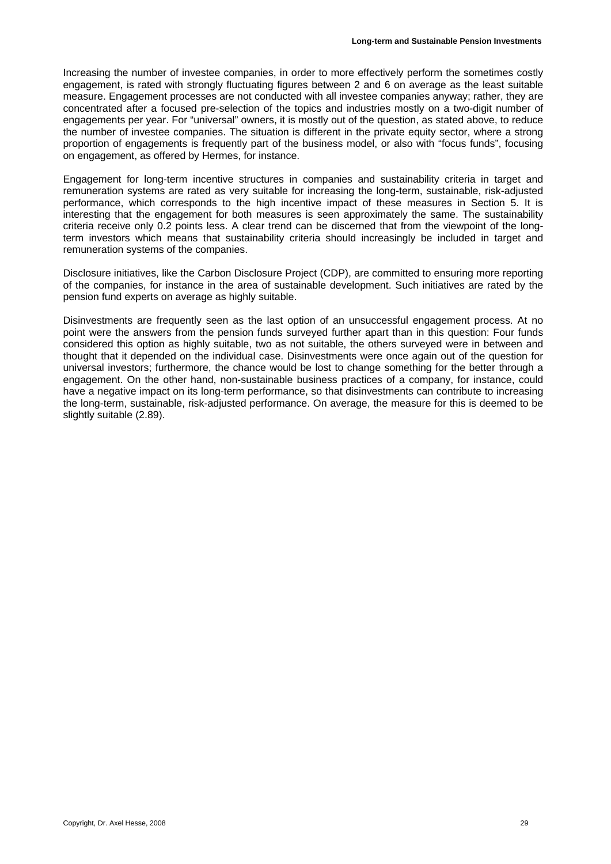Increasing the number of investee companies, in order to more effectively perform the sometimes costly engagement, is rated with strongly fluctuating figures between 2 and 6 on average as the least suitable measure. Engagement processes are not conducted with all investee companies anyway; rather, they are concentrated after a focused pre-selection of the topics and industries mostly on a two-digit number of engagements per year. For "universal" owners, it is mostly out of the question, as stated above, to reduce the number of investee companies. The situation is different in the private equity sector, where a strong proportion of engagements is frequently part of the business model, or also with "focus funds", focusing on engagement, as offered by Hermes, for instance.

Engagement for long-term incentive structures in companies and sustainability criteria in target and remuneration systems are rated as very suitable for increasing the long-term, sustainable, risk-adjusted performance, which corresponds to the high incentive impact of these measures in Section 5. It is interesting that the engagement for both measures is seen approximately the same. The sustainability criteria receive only 0.2 points less. A clear trend can be discerned that from the viewpoint of the longterm investors which means that sustainability criteria should increasingly be included in target and remuneration systems of the companies.

Disclosure initiatives, like the Carbon Disclosure Project (CDP), are committed to ensuring more reporting of the companies, for instance in the area of sustainable development. Such initiatives are rated by the pension fund experts on average as highly suitable.

Disinvestments are frequently seen as the last option of an unsuccessful engagement process. At no point were the answers from the pension funds surveyed further apart than in this question: Four funds considered this option as highly suitable, two as not suitable, the others surveyed were in between and thought that it depended on the individual case. Disinvestments were once again out of the question for universal investors; furthermore, the chance would be lost to change something for the better through a engagement. On the other hand, non-sustainable business practices of a company, for instance, could have a negative impact on its long-term performance, so that disinvestments can contribute to increasing the long-term, sustainable, risk-adjusted performance. On average, the measure for this is deemed to be slightly suitable (2.89).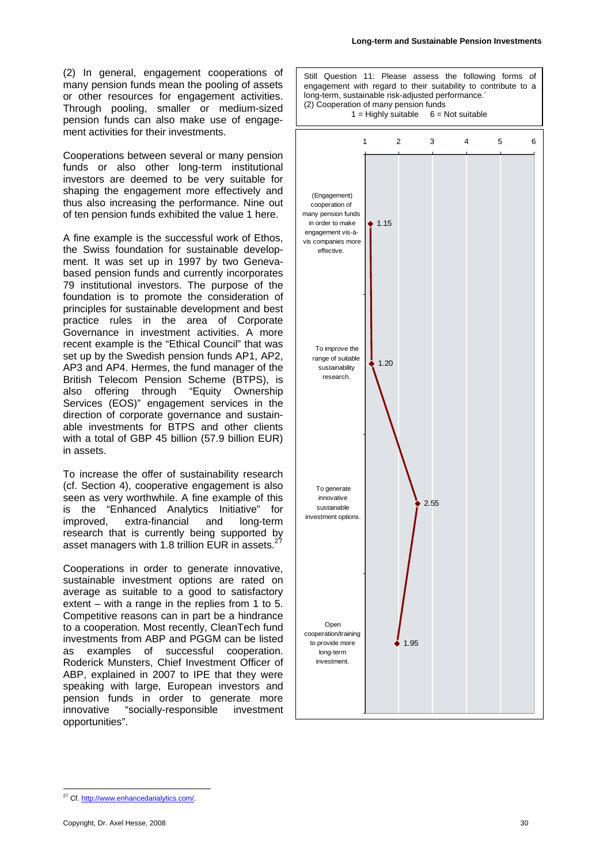(2) In general, engagement cooperations of many pension funds mean the pooling of assets or other resources for engagement activities. Through pooling, smaller or medium-sized pension funds can also make use of engagement activities for their investments.

Cooperations between several or many pension funds or also other long-term institutional investors are deemed to be very suitable for shaping the engagement more effectively and thus also increasing the performance. Nine out of ten pension funds exhibited the value 1 here.

A fine example is the successful work of Ethos, the Swiss foundation for sustainable development. It was set up in 1997 by two Genevabased pension funds and currently incorporates 79 institutional investors. The purpose of the foundation is to promote the consideration of principles for sustainable development and best practice rules in the area of Corporate Governance in investment activities. A more recent example is the "Ethical Council" that was set up by the Swedish pension funds AP1, AP2, AP3 and AP4. Hermes, the fund manager of the British Telecom Pension Scheme (BTPS), is also offering through "Equity Ownership Services (EOS)" engagement services in the direction of corporate governance and sustainable investments for BTPS and other clients with a total of GBP 45 billion (57.9 billion EUR) in assets.

To increase the offer of sustainability research (cf. Section [4\)](#page-12-0), cooperative engagement is also seen as very worthwhile. A fine example of this is the "Enhanced Analytics Initiative" for improved, extra-financial and long-term research that is currently being supported by asset managers with 1.8 trillion EUR in assets.<sup>2[7](#page-29-0)</sup>

Cooperations in order to generate innovative, sustainable investment options are rated on average as suitable to a good to satisfactory extent – with a range in the replies from 1 to 5. Competitive reasons can in part be a hindrance to a cooperation. Most recently, CleanTech fund investments from ABP and PGGM can be listed as examples of successful cooperation. Roderick Munsters, Chief Investment Officer of ABP, explained in 2007 to IPE that they were speaking with large, European investors and pension funds in order to generate more innovative "socially-responsible investment opportunities".



<span id="page-29-0"></span><sup>1</sup> 27 Cf. http://www.enhancedanalytics.com/.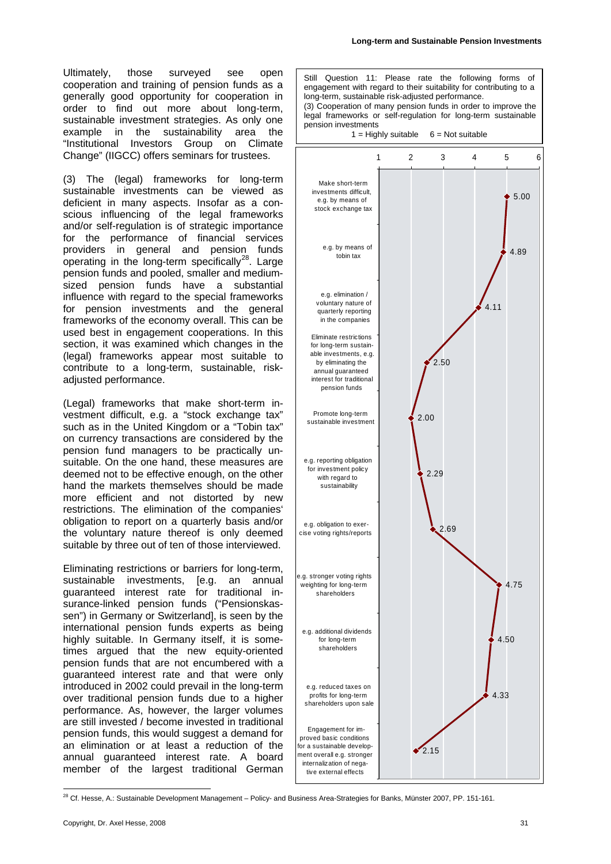Ultimately, those surveyed see open cooperation and training of pension funds as a generally good opportunity for cooperation in order to find out more about long-term, sustainable investment strategies. As only one example in the sustainability area the "Institutional Investors Group on Climate Change" (IIGCC) offers seminars for trustees.

(3) The (legal) frameworks for long-term sustainable investments can be viewed as deficient in many aspects. Insofar as a conscious influencing of the legal frameworks and/or self-regulation is of strategic importance for the performance of financial services providers in general and pension funds operating in the long-term specifically<sup>28</sup>. Large pension funds and pooled, smaller and mediumsized pension funds have a substantial influence with regard to the special frameworks for pension investments and the general frameworks of the economy overall. This can be used best in engagement cooperations. In this section, it was examined which changes in the (legal) frameworks appear most suitable to contribute to a long-term, sustainable, riskadjusted performance.

(Legal) frameworks that make short-term investment difficult, e.g. a "stock exchange tax" such as in the United Kingdom or a "Tobin tax" on currency transactions are considered by the pension fund managers to be practically unsuitable. On the one hand, these measures are deemed not to be effective enough, on the other hand the markets themselves should be made more efficient and not distorted by new restrictions. The elimination of the companies' obligation to report on a quarterly basis and/or the voluntary nature thereof is only deemed suitable by three out of ten of those interviewed.

Eliminating restrictions or barriers for long-term, sustainable investments, [e.g. an annual guaranteed interest rate for traditional insurance-linked pension funds ("Pensionskassen") in Germany or Switzerland], is seen by the international pension funds experts as being highly suitable. In Germany itself, it is sometimes argued that the new equity-oriented pension funds that are not encumbered with a guaranteed interest rate and that were only introduced in 2002 could prevail in the long-term over traditional pension funds due to a higher performance. As, however, the larger volumes are still invested / become invested in traditional pension funds, this would suggest a demand for an elimination or at least a reduction of the annual guaranteed interest rate. A board member of the largest traditional German

Still Question 11: Please rate the following forms of engagement with regard to their suitability for contributing to a long-term, sustainable risk-adjusted performance. (3) Cooperation of many pension funds in order to improve the legal frameworks or self-regulation for long-term sustainable pension investments  $1 =$  Highly suitable  $6 =$  Not suitable 5.00 4.89 4.11 2.50 2.00 2.29 2.69 4.75 4.50 123456 Make short-term investments difficult, e.g. by means of stock exchange tax e.g. by means of tobin tax e.g. elimination / voluntary nature of quarterly reporting in the companies Eliminate restrictions for long-term sustainable investments, e.g. by eliminating the annual guaranteed interest for traditional pension funds Promote long-term sustainable investment e.g. reporting obligation for investment policy with regard to sustainability e.g. obligation to exercise voting rights/reports e.g. stronger voting rights weighting for long-term shareholders e.g. additional dividends for long-term shareholders



<span id="page-30-0"></span><sup>1</sup> <sup>28</sup> Cf. Hesse, A.: Sustainable Development Management – Policy- and Business Area-Strategies for Banks, Münster 2007, PP. 151-161.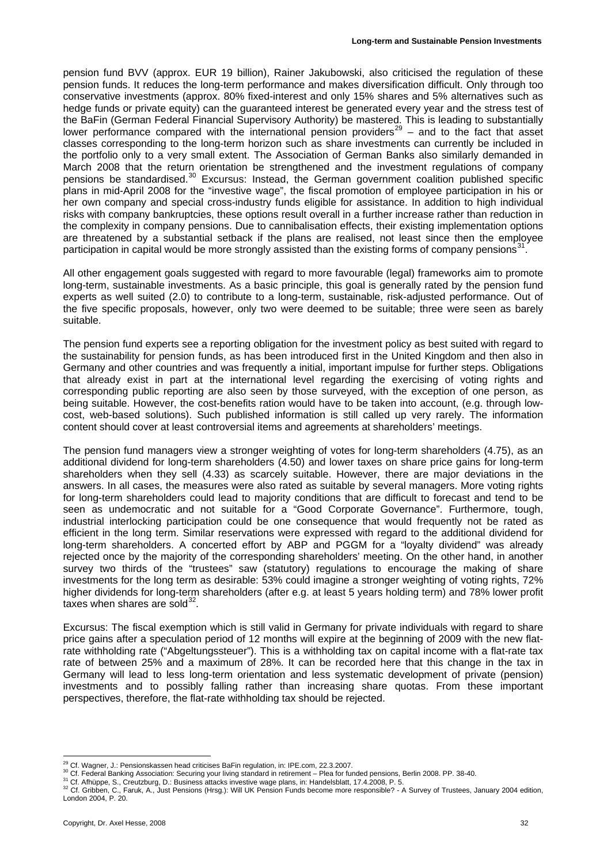pension fund BVV (approx. EUR 19 billion), Rainer Jakubowski, also criticised the regulation of these pension funds. It reduces the long-term performance and makes diversification difficult. Only through too conservative investments (approx. 80% fixed-interest and only 15% shares and 5% alternatives such as hedge funds or private equity) can the guaranteed interest be generated every year and the stress test of the BaFin (German Federal Financial Supervisory Authority) be mastered. This is leading to substantially lower performance compared with the international pension providers<sup>[29](#page-31-0)</sup> – and to the fact that asset classes corresponding to the long-term horizon such as share investments can currently be included in the portfolio only to a very small extent. The Association of German Banks also similarly demanded in March 2008 that the return orientation be strengthened and the investment regulations of company pensions be standardised.<sup>[30](#page-31-1)</sup> Excursus: Instead, the German government coalition published specific plans in mid-April 2008 for the "investive wage", the fiscal promotion of employee participation in his or her own company and special cross-industry funds eligible for assistance. In addition to high individual risks with company bankruptcies, these options result overall in a further increase rather than reduction in the complexity in company pensions. Due to cannibalisation effects, their existing implementation options are threatened by a substantial setback if the plans are realised, not least since then the employee participation in capital would be more strongly assisted than the existing forms of company pensions<sup>31</sup>.

All other engagement goals suggested with regard to more favourable (legal) frameworks aim to promote long-term, sustainable investments. As a basic principle, this goal is generally rated by the pension fund experts as well suited (2.0) to contribute to a long-term, sustainable, risk-adjusted performance. Out of the five specific proposals, however, only two were deemed to be suitable; three were seen as barely suitable.

The pension fund experts see a reporting obligation for the investment policy as best suited with regard to the sustainability for pension funds, as has been introduced first in the United Kingdom and then also in Germany and other countries and was frequently a initial, important impulse for further steps. Obligations that already exist in part at the international level regarding the exercising of voting rights and corresponding public reporting are also seen by those surveyed, with the exception of one person, as being suitable. However, the cost-benefits ration would have to be taken into account, (e.g. through lowcost, web-based solutions). Such published information is still called up very rarely. The information content should cover at least controversial items and agreements at shareholders' meetings.

The pension fund managers view a stronger weighting of votes for long-term shareholders (4.75), as an additional dividend for long-term shareholders (4.50) and lower taxes on share price gains for long-term shareholders when they sell (4.33) as scarcely suitable. However, there are major deviations in the answers. In all cases, the measures were also rated as suitable by several managers. More voting rights for long-term shareholders could lead to majority conditions that are difficult to forecast and tend to be seen as undemocratic and not suitable for a "Good Corporate Governance". Furthermore, tough, industrial interlocking participation could be one consequence that would frequently not be rated as efficient in the long term. Similar reservations were expressed with regard to the additional dividend for long-term shareholders. A concerted effort by ABP and PGGM for a "loyalty dividend" was already rejected once by the majority of the corresponding shareholders' meeting. On the other hand, in another survey two thirds of the "trustees" saw (statutory) regulations to encourage the making of share investments for the long term as desirable: 53% could imagine a stronger weighting of voting rights, 72% higher dividends for long-term shareholders (after e.g. at least 5 years holding term) and 78% lower profit taxes when shares are sold $^{32}$ .

Excursus: The fiscal exemption which is still valid in Germany for private individuals with regard to share price gains after a speculation period of 12 months will expire at the beginning of 2009 with the new flatrate withholding rate ("Abgeltungssteuer"). This is a withholding tax on capital income with a flat-rate tax rate of between 25% and a maximum of 28%. It can be recorded here that this change in the tax in Germany will lead to less long-term orientation and less systematic development of private (pension) investments and to possibly falling rather than increasing share quotas. From these important perspectives, therefore, the flat-rate withholding tax should be rejected.

<sup>&</sup>lt;sup>29</sup> Cf. Wagner, J.: Pensionskassen head criticises BaFin regulation, in: IPE.com, 22.3.2007.

<span id="page-31-1"></span><span id="page-31-0"></span>

<span id="page-31-3"></span><span id="page-31-2"></span>

<sup>30</sup> Cf. Federal Banking Association: Securing your living standard in retirement – Plea for funded pensions, Berlin 2008. PP. 38-40.<br><sup>31</sup> Cf. Afhüppe, S., Creutzburg, D.: Business attacks investive wage plans, in: Handelsbl London 2004, P. 20.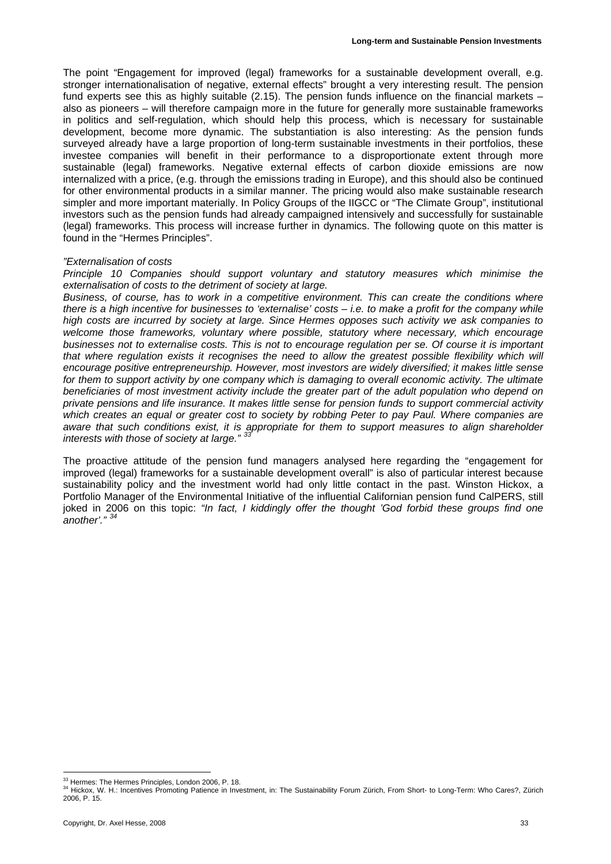The point "Engagement for improved (legal) frameworks for a sustainable development overall, e.g. stronger internationalisation of negative, external effects" brought a very interesting result. The pension fund experts see this as highly suitable (2.15). The pension funds influence on the financial markets – also as pioneers – will therefore campaign more in the future for generally more sustainable frameworks in politics and self-regulation, which should help this process, which is necessary for sustainable development, become more dynamic. The substantiation is also interesting: As the pension funds surveyed already have a large proportion of long-term sustainable investments in their portfolios, these investee companies will benefit in their performance to a disproportionate extent through more sustainable (legal) frameworks. Negative external effects of carbon dioxide emissions are now internalized with a price, (e.g. through the emissions trading in Europe), and this should also be continued for other environmental products in a similar manner. The pricing would also make sustainable research simpler and more important materially. In Policy Groups of the IIGCC or "The Climate Group", institutional investors such as the pension funds had already campaigned intensively and successfully for sustainable (legal) frameworks. This process will increase further in dynamics. The following quote on this matter is found in the "Hermes Principles".

#### *"Externalisation of costs*

*Principle 10 Companies should support voluntary and statutory measures which minimise the externalisation of costs to the detriment of society at large.* 

*Business, of course, has to work in a competitive environment. This can create the conditions where there is a high incentive for businesses to 'externalise' costs – i.e. to make a profit for the company while high costs are incurred by society at large. Since Hermes opposes such activity we ask companies to welcome those frameworks, voluntary where possible, statutory where necessary, which encourage businesses not to externalise costs. This is not to encourage regulation per se. Of course it is important that where regulation exists it recognises the need to allow the greatest possible flexibility which will encourage positive entrepreneurship. However, most investors are widely diversified; it makes little sense for them to support activity by one company which is damaging to overall economic activity. The ultimate beneficiaries of most investment activity include the greater part of the adult population who depend on private pensions and life insurance. It makes little sense for pension funds to support commercial activity which creates an equal or greater cost to society by robbing Peter to pay Paul. Where companies are aware that such conditions exist, it is appropriate for them to support measures to align shareholder interests with those of society at large." [33](#page-32-0)*

The proactive attitude of the pension fund managers analysed here regarding the "engagement for improved (legal) frameworks for a sustainable development overall" is also of particular interest because sustainability policy and the investment world had only little contact in the past. Winston Hickox, a Portfolio Manager of the Environmental Initiative of the influential Californian pension fund CalPERS, still joked in 2006 on this topic: *"In fact, I kiddingly offer the thought 'God forbid these groups find one another'." [34](#page-32-1)*

<sup>&</sup>lt;sup>33</sup> Hermes: The Hermes Principles, London 2006, P. 18.

<span id="page-32-1"></span><span id="page-32-0"></span><sup>&</sup>lt;sup>33</sup> Hermes: The Hermes Principles, London 2006, P. 18.<br><sup>34</sup> Hickox, W. H.: Incentives Promoting Patience in Investment, in: The Sustainability Forum Zürich, From Short- to Long-Term: Who Cares?, Zürich 2006, P. 15.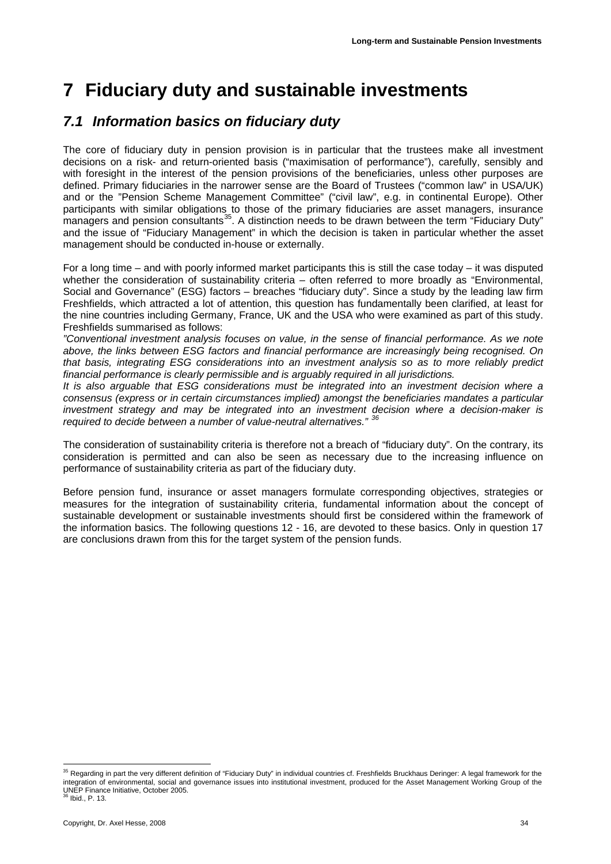# <span id="page-33-3"></span><span id="page-33-0"></span>**7 Fiduciary duty and sustainable investments**

### *7.1 Information basics on fiduciary duty*

The core of fiduciary duty in pension provision is in particular that the trustees make all investment decisions on a risk- and return-oriented basis ("maximisation of performance"), carefully, sensibly and with foresight in the interest of the pension provisions of the beneficiaries, unless other purposes are defined. Primary fiduciaries in the narrower sense are the Board of Trustees ("common law" in USA/UK) and or the "Pension Scheme Management Committee" ("civil law", e.g. in continental Europe). Other participants with similar obligations to those of the primary fiduciaries are asset managers, insurance managers and pension consultants<sup>35</sup>. A distinction needs to be drawn between the term "Fiduciary Duty" and the issue of "Fiduciary Management" in which the decision is taken in particular whether the asset management should be conducted in-house or externally.

For a long time – and with poorly informed market participants this is still the case today – it was disputed whether the consideration of sustainability criteria – often referred to more broadly as "Environmental, Social and Governance" (ESG) factors – breaches "fiduciary duty". Since a study by the leading law firm Freshfields, which attracted a lot of attention, this question has fundamentally been clarified, at least for the nine countries including Germany, France, UK and the USA who were examined as part of this study. Freshfields summarised as follows:

*"Conventional investment analysis focuses on value, in the sense of financial performance. As we note above, the links between ESG factors and financial performance are increasingly being recognised. On that basis, integrating ESG considerations into an investment analysis so as to more reliably predict financial performance is clearly permissible and is arguably required in all jurisdictions.*

*It is also arguable that ESG considerations must be integrated into an investment decision where a consensus (express or in certain circumstances implied) amongst the beneficiaries mandates a particular investment strategy and may be integrated into an investment decision where a decision-maker is required to decide between a number of value-neutral alternatives." [36](#page-33-2)*

The consideration of sustainability criteria is therefore not a breach of "fiduciary duty". On the contrary, its consideration is permitted and can also be seen as necessary due to the increasing influence on performance of sustainability criteria as part of the fiduciary duty.

Before pension fund, insurance or asset managers formulate corresponding objectives, strategies or measures for the integration of sustainability criteria, fundamental information about the concept of sustainable development or sustainable investments should first be considered within the framework of the information basics. The following questions 12 - 16, are devoted to these basics. Only in question 17 are conclusions drawn from this for the target system of the pension funds.

<span id="page-33-2"></span><span id="page-33-1"></span><sup>1</sup> <sup>35</sup> Regarding in part the very different definition of "Fiduciary Duty" in individual countries cf. Freshfields Bruckhaus Deringer: A legal framework for the integration of environmental, social and governance issues into institutional investment, produced for the Asset Management Working Group of the UNEP Finance Initiative, October 2005.  $\overline{5}$  Ibid., P. 13.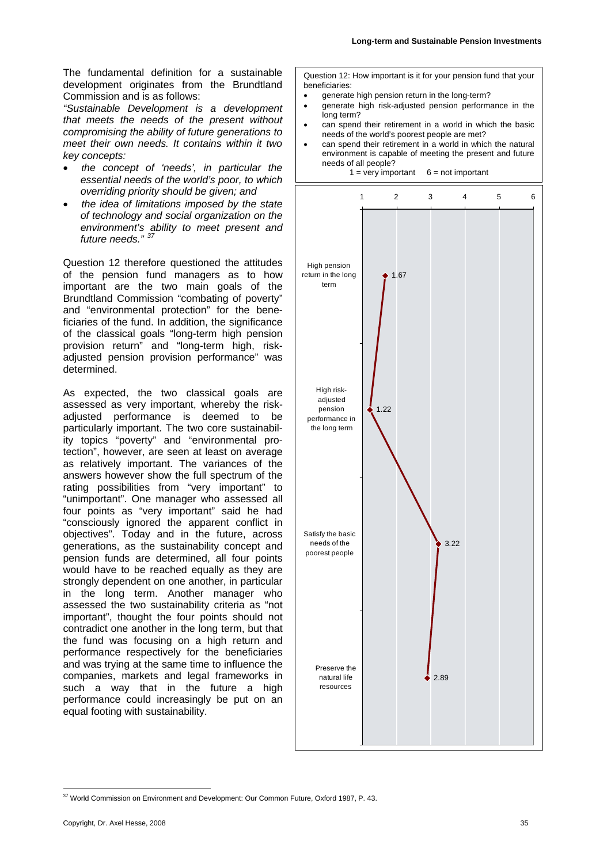The fundamental definition for a sustainable development originates from the Brundtland Commission and is as follows:

*"Sustainable Development is a development that meets the needs of the present without compromising the ability of future generations to meet their own needs. It contains within it two key concepts:* 

- *the concept of 'needs', in particular the essential needs of the world's poor, to which overriding priority should be given; and*
- *the idea of limitations imposed by the state of technology and social organization on the environment's ability to meet present and*  future needs."

Question 12 therefore questioned the attitudes of the pension fund managers as to how important are the two main goals of the Brundtland Commission "combating of poverty" and "environmental protection" for the beneficiaries of the fund. In addition, the significance of the classical goals "long-term high pension provision return" and "long-term high, riskadjusted pension provision performance" was determined.

As expected, the two classical goals are assessed as very important, whereby the riskadjusted performance is deemed to be particularly important. The two core sustainability topics "poverty" and "environmental protection", however, are seen at least on average as relatively important. The variances of the answers however show the full spectrum of the rating possibilities from "very important" to "unimportant". One manager who assessed all four points as "very important" said he had "consciously ignored the apparent conflict in objectives". Today and in the future, across generations, as the sustainability concept and pension funds are determined, all four points would have to be reached equally as they are strongly dependent on one another, in particular in the long term. Another manager who assessed the two sustainability criteria as "not important", thought the four points should not contradict one another in the long term, but that the fund was focusing on a high return and performance respectively for the beneficiaries and was trying at the same time to influence the companies, markets and legal frameworks in such a way that in the future a high performance could increasingly be put on an equal footing with sustainability.

Question 12: How important is it for your pension fund that your beneficiaries:

- generate high pension return in the long-term?
- generate high risk-adjusted pension performance in the long term?
- can spend their retirement in a world in which the basic needs of the world's poorest people are met?
- can spend their retirement in a world in which the natural environment is capable of meeting the present and future needs of all people?



<span id="page-34-0"></span><sup>1</sup> <sup>37</sup> World Commission on Environment and Development: Our Common Future, Oxford 1987, P. 43.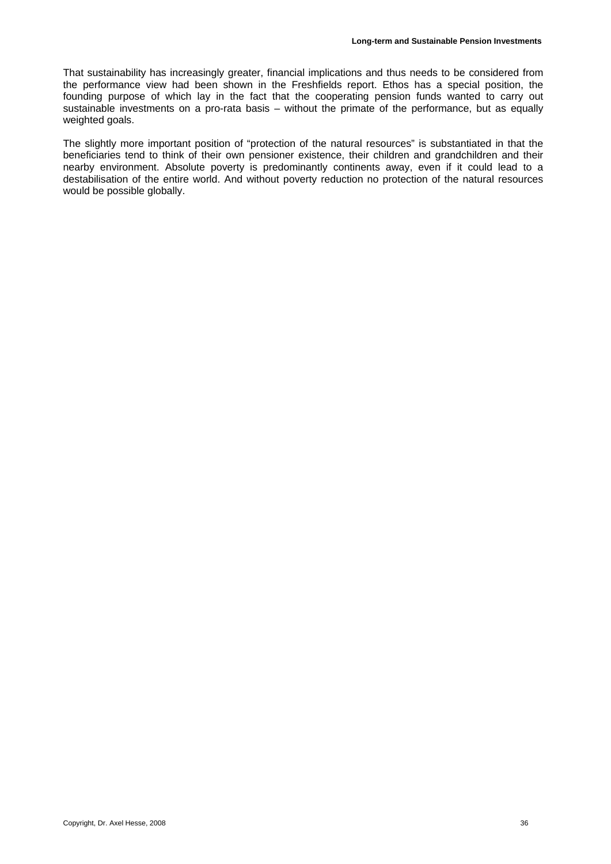That sustainability has increasingly greater, financial implications and thus needs to be considered from the performance view had been shown in the Freshfields report. Ethos has a special position, the founding purpose of which lay in the fact that the cooperating pension funds wanted to carry out sustainable investments on a pro-rata basis – without the primate of the performance, but as equally weighted goals.

The slightly more important position of "protection of the natural resources" is substantiated in that the beneficiaries tend to think of their own pensioner existence, their children and grandchildren and their nearby environment. Absolute poverty is predominantly continents away, even if it could lead to a destabilisation of the entire world. And without poverty reduction no protection of the natural resources would be possible globally.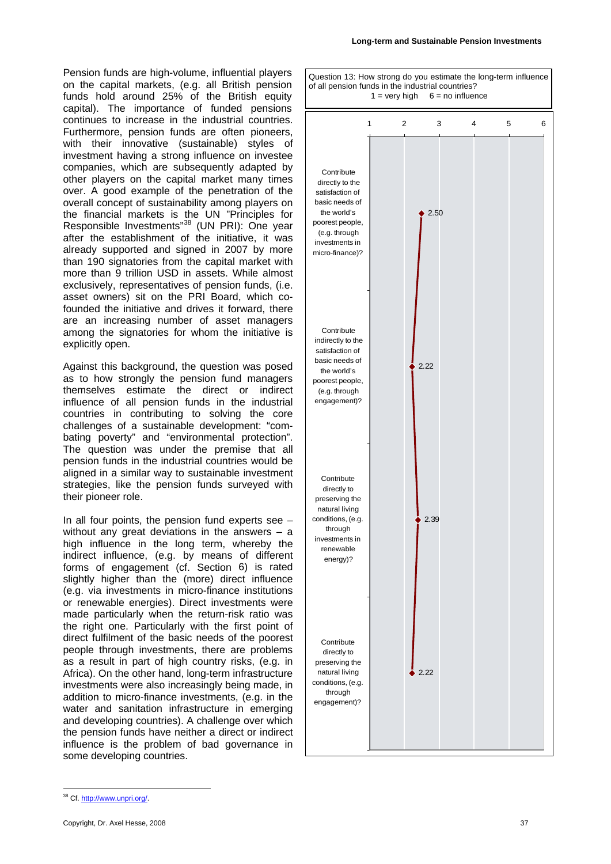Pension funds are high-volume, influential players on the capital markets, (e.g. all British pension funds hold around 25% of the British equity capital). The importance of funded pensions continues to increase in the industrial countries. Furthermore, pension funds are often pioneers, with their innovative (sustainable) styles of investment having a strong influence on investee companies, which are subsequently adapted by other players on the capital market many times over. A good example of the penetration of the overall concept of sustainability among players on the financial markets is the UN "Principles for Responsible Investments"<sup>38</sup> (UN PRI): One year after the establishment of the initiative, it was already supported and signed in 2007 by more than 190 signatories from the capital market with more than 9 trillion USD in assets. While almost exclusively, representatives of pension funds, (i.e. asset owners) sit on the PRI Board, which cofounded the initiative and drives it forward, there are an increasing number of asset managers among the signatories for whom the initiative is explicitly open.

Against this background, the question was posed as to how strongly the pension fund managers themselves estimate the direct or indirect influence of all pension funds in the industrial countries in contributing to solving the core challenges of a sustainable development: "combating poverty" and "environmental protection". The question was under the premise that all pension funds in the industrial countries would be aligned in a similar way to sustainable investment strategies, like the pension funds surveyed with their pioneer role.

In all four points, the pension fund experts see  $$ without any great deviations in the answers  $-$  a high influence in the long term, whereby the indirect influence, (e.g. by means of different forms of engagement (cf. Section [6](#page-27-1)) is rated slightly higher than the (more) direct influence (e.g. via investments in micro-finance institutions or renewable energies). Direct investments were made particularly when the return-risk ratio was the right one. Particularly with the first point of direct fulfilment of the basic needs of the poorest people through investments, there are problems as a result in part of high country risks, (e.g. in Africa). On the other hand, long-term infrastructure investments were also increasingly being made, in addition to micro-finance investments, (e.g. in the water and sanitation infrastructure in emerging and developing countries). A challenge over which the pension funds have neither a direct or indirect influence is the problem of bad governance in some developing countries.

Question 13: How strong do you estimate the long-term influence of all pension funds in the industrial countries?  $1 =$  very high  $6 =$  no influence



<span id="page-36-0"></span><sup>1</sup> 38 Cf. http://www.unpri.org/.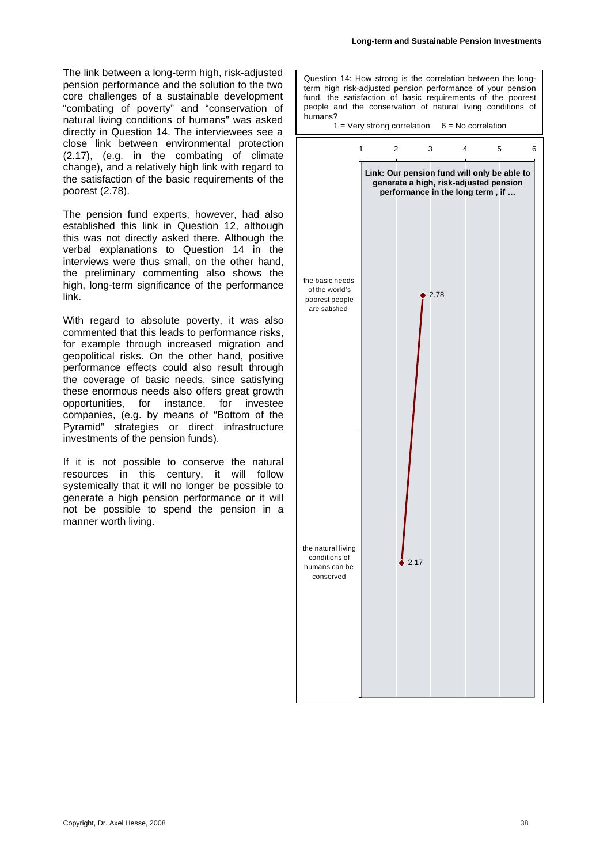The link between a long-term high, risk-adjusted pension performance and the solution to the two core challenges of a sustainable development "combating of poverty" and "conservation of natural living conditions of humans" was asked directly in Question 14. The interviewees see a close link between environmental protection (2.17), (e.g. in the combating of climate change), and a relatively high link with regard to the satisfaction of the basic requirements of the poorest (2.78).

The pension fund experts, however, had also established this link in Question 12, although this was not directly asked there. Although the verbal explanations to Question 14 in the interviews were thus small, on the other hand, the preliminary commenting also shows the high, long-term significance of the performance link.

With regard to absolute poverty, it was also commented that this leads to performance risks, for example through increased migration and geopolitical risks. On the other hand, positive performance effects could also result through the coverage of basic needs, since satisfying these enormous needs also offers great growth opportunities, for instance, for investee companies, (e.g. by means of "Bottom of the Pyramid" strategies or direct infrastructure investments of the pension funds).

If it is not possible to conserve the natural resources in this century, it will follow systemically that it will no longer be possible to generate a high pension performance or it will not be possible to spend the pension in a manner worth living.

Question 14: How strong is the correlation between the longterm high risk-adjusted pension performance of your pension fund, the satisfaction of basic requirements of the poorest people and the conservation of natural living conditions of humans?  $1 = \text{Very strong correlation}$  6 = No correlation 2.78 2.17 123456 the basic needs of the world's poorest people are satisfied the natural living conditions of humans can be conserved **Link: Our pension fund will only be able to generate a high, risk-adjusted pension performance in the long term , if …**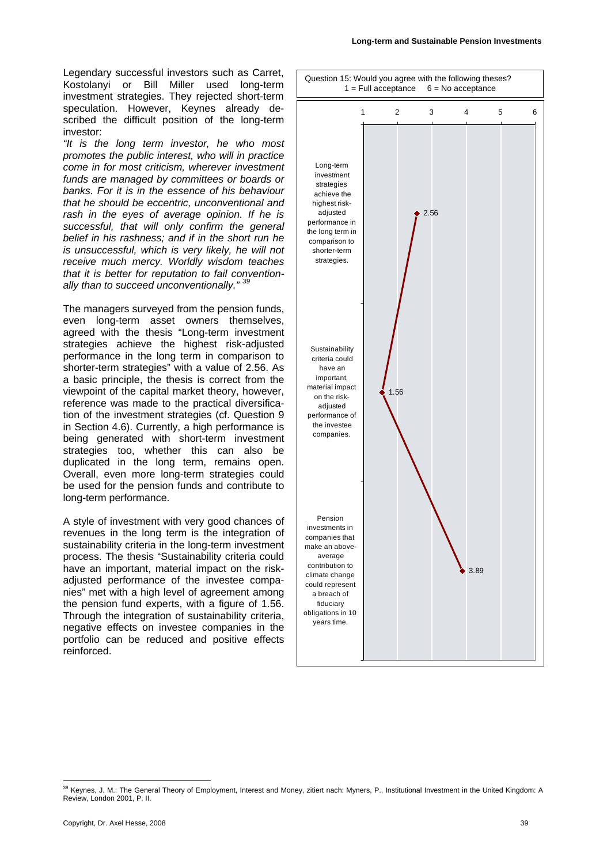Legendary successful investors such as Carret, Kostolanyi or Bill Miller used long-term investment strategies. They rejected short-term speculation. However, Keynes already described the difficult position of the long-term investor:

*"It is the long term investor, he who most promotes the public interest, who will in practice come in for most criticism, wherever investment funds are managed by committees or boards or banks. For it is in the essence of his behaviour that he should be eccentric, unconventional and rash in the eyes of average opinion. If he is successful, that will only confirm the general belief in his rashness; and if in the short run he is unsuccessful, which is very likely, he will not receive much mercy. Worldly wisdom teaches that it is better for reputation to fail conventionally than to succeed unconventionally." [39](#page-38-0)*

The managers surveyed from the pension funds, even long-term asset owners themselves, agreed with the thesis "Long-term investment strategies achieve the highest risk-adjusted performance in the long term in comparison to shorter-term strategies" with a value of 2.56. As a basic principle, the thesis is correct from the viewpoint of the capital market theory, however, reference was made to the practical diversification of the investment strategies (cf. Question 9 in Section [4.6](#page-21-2)). Currently, a high performance is being generated with short-term investment strategies too, whether this can also be duplicated in the long term, remains open. Overall, even more long-term strategies could be used for the pension funds and contribute to long-term performance.

A style of investment with very good chances of revenues in the long term is the integration of sustainability criteria in the long-term investment process. The thesis "Sustainability criteria could have an important, material impact on the riskadjusted performance of the investee companies" met with a high level of agreement among the pension fund experts, with a figure of 1.56. Through the integration of sustainability criteria, negative effects on investee companies in the portfolio can be reduced and positive effects reinforced.



<span id="page-38-0"></span><sup>&</sup>lt;sup>39</sup> Keynes, J. M.: The General Theory of Employment, Interest and Money, zitiert nach: Myners, P., Institutional Investment in the United Kingdom: A Review, London 2001, P. II.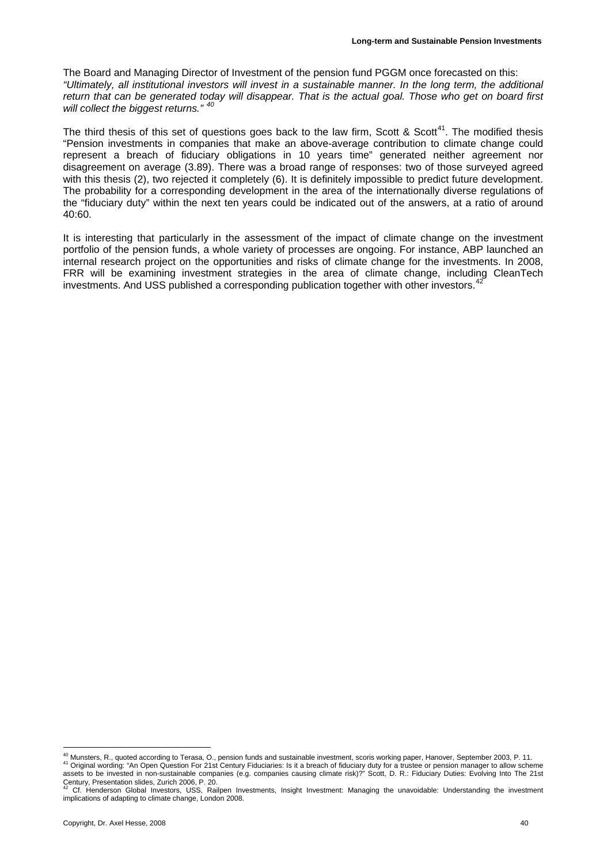The Board and Managing Director of Investment of the pension fund PGGM once forecasted on this: *"Ultimately, all institutional investors will invest in a sustainable manner. In the long term, the additional return that can be generated today will disappear. That is the actual goal. Those who get on board first will collect the biggest returns." [40](#page-39-0)* 

The third thesis of this set of questions goes back to the law firm, Scott & Scott<sup>41</sup>. The modified thesis "Pension investments in companies that make an above-average contribution to climate change could represent a breach of fiduciary obligations in 10 years time" generated neither agreement nor disagreement on average (3.89). There was a broad range of responses: two of those surveyed agreed with this thesis (2), two rejected it completely (6). It is definitely impossible to predict future development. The probability for a corresponding development in the area of the internationally diverse regulations of the "fiduciary duty" within the next ten years could be indicated out of the answers, at a ratio of around 40:60.

It is interesting that particularly in the assessment of the impact of climate change on the investment portfolio of the pension funds, a whole variety of processes are ongoing. For instance, ABP launched an internal research project on the opportunities and risks of climate change for the investments. In 2008, FRR will be examining investment strategies in the area of climate change, including CleanTech investments. And USS published a corresponding publication together with other investors. $42$ 

<span id="page-39-1"></span><span id="page-39-0"></span><sup>&</sup>lt;sup>40</sup> Munsters, R., quoted according to Terasa, O., pension funds and sustainable investment, scoris working paper, Hanover, September 2003, P. 11.<br><sup>41</sup> Original wording: "An Open Question For 21st Century Fiduciaries: Is i assets to be invested in non-sustainable companies (e.g. companies causing climate risk)?" Scott, D. R.: Fiduciary Duties: Evolving Into The 21st Century, Presentation slides, Zurich 2006, P. 20.

<span id="page-39-2"></span><sup>42</sup> Cf. Henderson Global Investors, USS, Railpen Investments, Insight Investment: Managing the unavoidable: Understanding the investment implications of adapting to climate change, London 2008.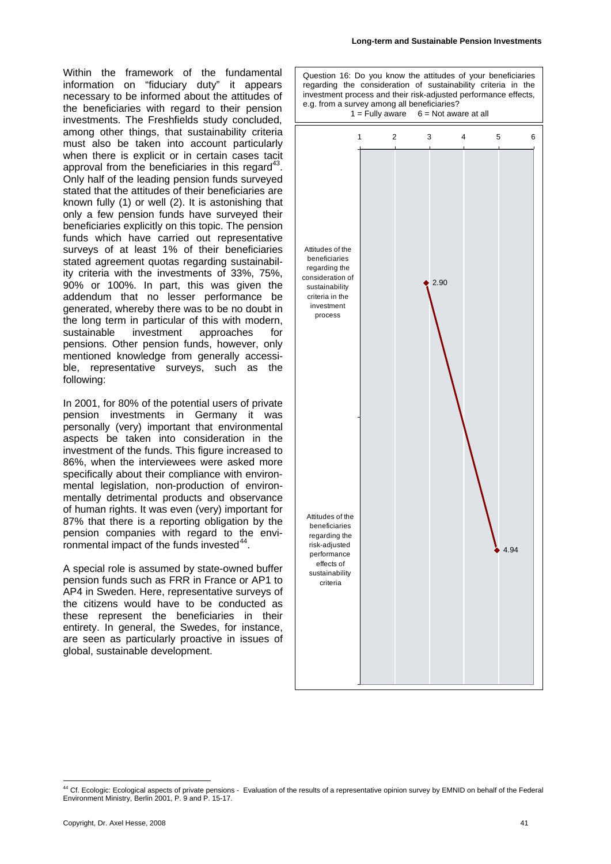Within the framework of the fundamental information on "fiduciary duty" it appears necessary to be informed about the attitudes of the beneficiaries with regard to their pension investments. The Freshfields study concluded, among other things, that sustainability criteria must also be taken into account particularly when there is explicit or in certain cases tacit approval from the beneficiaries in this regard<sup>4</sup> Only half of the leading pension funds surveyed stated that the attitudes of their beneficiaries are known fully (1) or well (2). It is astonishing that only a few pension funds have surveyed their beneficiaries explicitly on this topic. The pension funds which have carried out representative surveys of at least 1% of their beneficiaries stated agreement quotas regarding sustainability criteria with the investments of 33%, 75%, 90% or 100%. In part, this was given the addendum that no lesser performance be generated, whereby there was to be no doubt in the long term in particular of this with modern, sustainable investment approaches for pensions. Other pension funds, however, only mentioned knowledge from generally accessible, representative surveys, such as the following:

In 2001, for 80% of the potential users of private pension investments in Germany it was personally (very) important that environmental aspects be taken into consideration in the investment of the funds. This figure increased to 86%, when the interviewees were asked more specifically about their compliance with environmental legislation, non-production of environmentally detrimental products and observance of human rights. It was even (very) important for 87% that there is a reporting obligation by the pension companies with regard to the environmental impact of the funds invested $44$ .

A special role is assumed by state-owned buffer pension funds such as FRR in France or AP1 to AP4 in Sweden. Here, representative surveys of the citizens would have to be conducted as these represent the beneficiaries in their entirety. In general, the Swedes, for instance, are seen as particularly proactive in issues of global, sustainable development.



<span id="page-40-0"></span><sup>&</sup>lt;sup>44</sup> Cf. Ecologic: Ecological aspects of private pensions - Evaluation of the results of a representative opinion survey by EMNID on behalf of the Federal Environment Ministry, Berlin 2001, P. 9 and P. 15-17.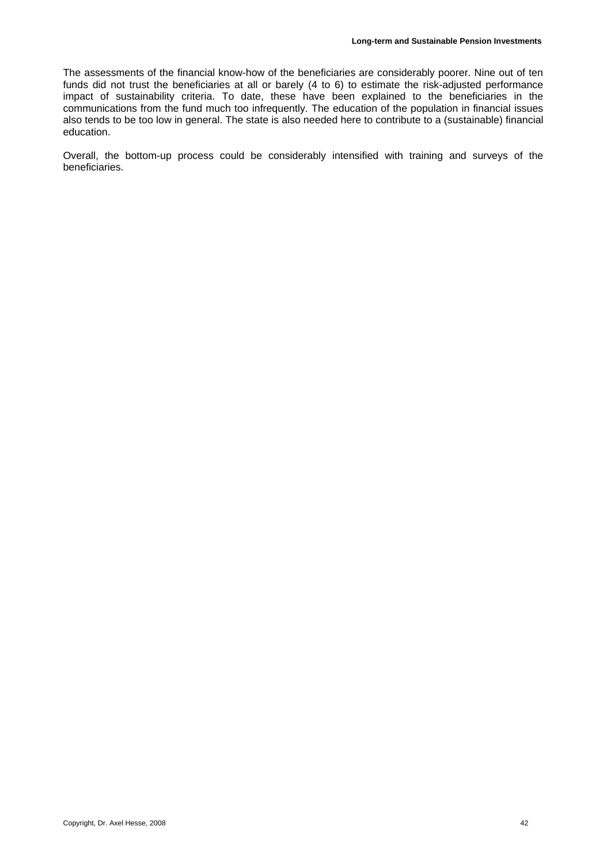The assessments of the financial know-how of the beneficiaries are considerably poorer. Nine out of ten funds did not trust the beneficiaries at all or barely (4 to 6) to estimate the risk-adjusted performance impact of sustainability criteria. To date, these have been explained to the beneficiaries in the communications from the fund much too infrequently. The education of the population in financial issues also tends to be too low in general. The state is also needed here to contribute to a (sustainable) financial education.

Overall, the bottom-up process could be considerably intensified with training and surveys of the beneficiaries.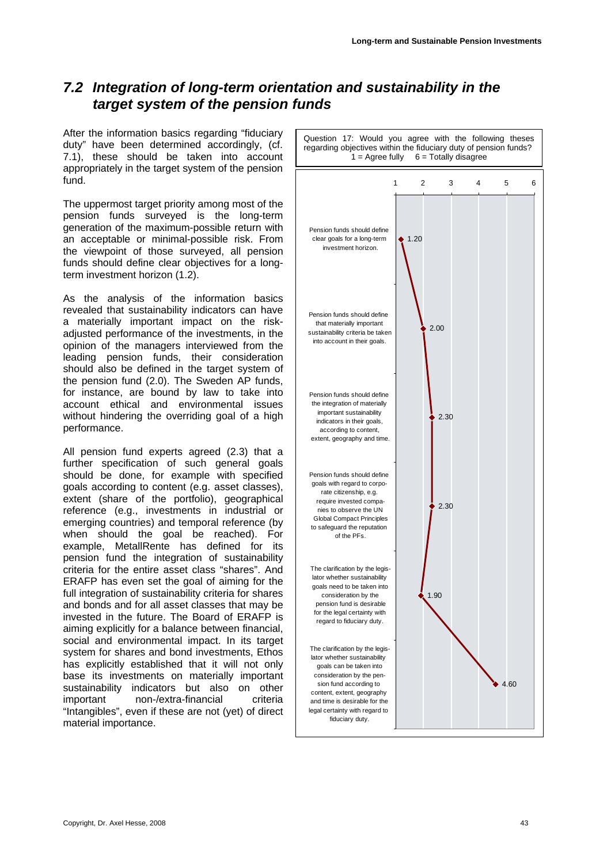## <span id="page-42-0"></span>*7.2 Integration of long-term orientation and sustainability in the target system of the pension funds*

After the information basics regarding "fiduciary duty" have been determined accordingly, (cf. [7.1](#page-33-3)), these should be taken into account appropriately in the target system of the pension fund.

The uppermost target priority among most of the pension funds surveyed is the long-term generation of the maximum-possible return with an acceptable or minimal-possible risk. From the viewpoint of those surveyed, all pension funds should define clear objectives for a longterm investment horizon (1.2).

As the analysis of the information basics revealed that sustainability indicators can have a materially important impact on the riskadjusted performance of the investments, in the opinion of the managers interviewed from the leading pension funds, their consideration should also be defined in the target system of the pension fund (2.0). The Sweden AP funds, for instance, are bound by law to take into account ethical and environmental issues without hindering the overriding goal of a high performance.

All pension fund experts agreed (2.3) that a further specification of such general goals should be done, for example with specified goals according to content (e.g. asset classes), extent (share of the portfolio), geographical reference (e.g., investments in industrial or emerging countries) and temporal reference (by when should the goal be reached). For example, MetallRente has defined for its pension fund the integration of sustainability criteria for the entire asset class "shares". And ERAFP has even set the goal of aiming for the full integration of sustainability criteria for shares and bonds and for all asset classes that may be invested in the future. The Board of ERAFP is aiming explicitly for a balance between financial, social and environmental impact. In its target system for shares and bond investments, Ethos has explicitly established that it will not only base its investments on materially important sustainability indicators but also on other important non-/extra-financial criteria "Intangibles", even if these are not (yet) of direct material importance.

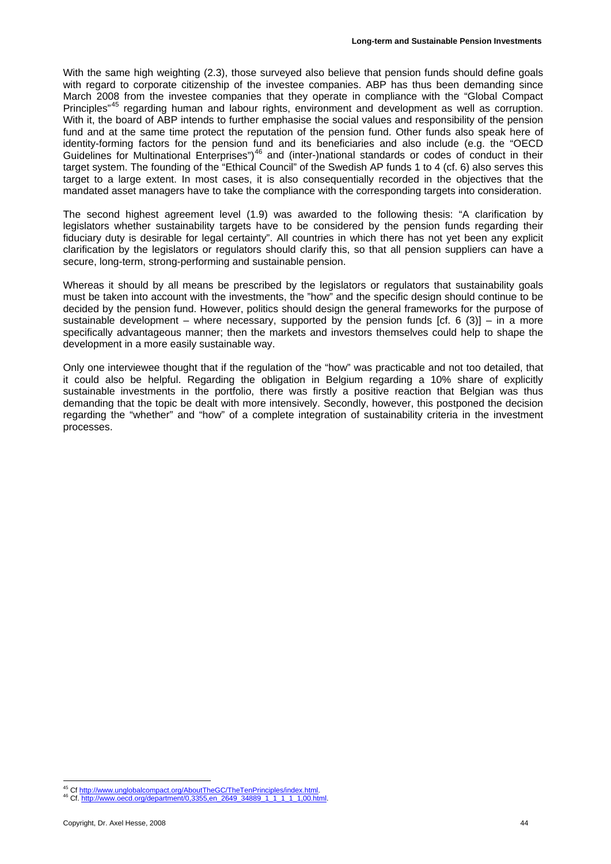With the same high weighting (2.3), those surveyed also believe that pension funds should define goals with regard to corporate citizenship of the investee companies. ABP has thus been demanding since March 2008 from the investee companies that they operate in compliance with the "Global Compact Principles<sup>"45</sup> regarding human and labour rights, environment and development as well as corruption. With it, the board of ABP intends to further emphasise the social values and responsibility of the pension fund and at the same time protect the reputation of the pension fund. Other funds also speak here of identity-forming factors for the pension fund and its beneficiaries and also include (e.g. the "OECD Guidelines for Multinational Enterprises")<sup>46</sup> and (inter-)national standards or codes of conduct in their target system. The founding of the "Ethical Council" of the Swedish AP funds 1 to 4 (cf. [6](#page-27-1)) also serves this target to a large extent. In most cases, it is also consequentially recorded in the objectives that the mandated asset managers have to take the compliance with the corresponding targets into consideration.

The second highest agreement level (1.9) was awarded to the following thesis: "A clarification by legislators whether sustainability targets have to be considered by the pension funds regarding their fiduciary duty is desirable for legal certainty". All countries in which there has not yet been any explicit clarification by the legislators or regulators should clarify this, so that all pension suppliers can have a secure, long-term, strong-performing and sustainable pension.

Whereas it should by all means be prescribed by the legislators or regulators that sustainability goals must be taken into account with the investments, the "how" and the specific design should continue to be decided by the pension fund. However, politics should design the general frameworks for the purpose of sustainable development – where necessary, supported by the pension funds  $[cf. 6 (3)] - in a more$  $[cf. 6 (3)] - in a more$  $[cf. 6 (3)] - in a more$  $[cf. 6 (3)] - in a more$  $[cf. 6 (3)] - in a more$ specifically advantageous manner; then the markets and investors themselves could help to shape the development in a more easily sustainable way.

Only one interviewee thought that if the regulation of the "how" was practicable and not too detailed, that it could also be helpful. Regarding the obligation in Belgium regarding a 10% share of explicitly sustainable investments in the portfolio, there was firstly a positive reaction that Belgian was thus demanding that the topic be dealt with more intensively. Secondly, however, this postponed the decision regarding the "whether" and "how" of a complete integration of sustainability criteria in the investment processes.

<sup>&</sup>lt;sup>45</sup> Cf http://www.unglobalcompact.org/AboutTheGC/TheTenPrinciples/index.html.<br><sup>46</sup> Cf. http://www.oecd.org/department/0,3355.en\_2649\_34889\_1\_1\_1\_1,1,00.html

<span id="page-43-1"></span><span id="page-43-0"></span>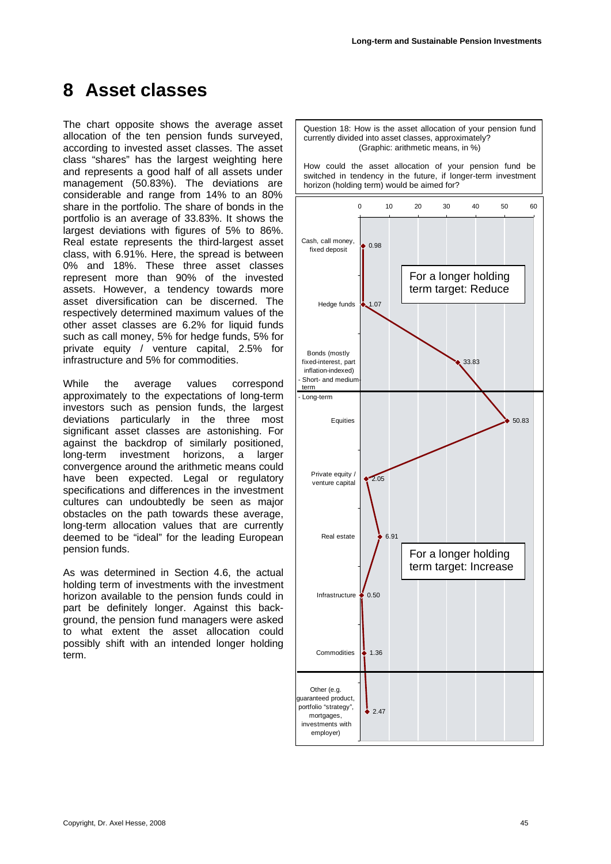## <span id="page-44-0"></span>**8 Asset classes**

The chart opposite shows the average asset allocation of the ten pension funds surveyed, according to invested asset classes. The asset class "shares" has the largest weighting here and represents a good half of all assets under management (50.83%). The deviations are considerable and range from 14% to an 80% share in the portfolio. The share of bonds in the portfolio is an average of 33.83%. It shows the largest deviations with figures of 5% to 86%. Real estate represents the third-largest asset class, with 6.91%. Here, the spread is between 0% and 18%. These three asset classes represent more than 90% of the invested assets. However, a tendency towards more asset diversification can be discerned. The respectively determined maximum values of the other asset classes are 6.2% for liquid funds such as call money, 5% for hedge funds, 5% for private equity / venture capital, 2.5% for infrastructure and 5% for commodities.

While the average values correspond approximately to the expectations of long-term investors such as pension funds, the largest deviations particularly in the three most significant asset classes are astonishing. For against the backdrop of similarly positioned, long-term investment horizons, a larger convergence around the arithmetic means could have been expected. Legal or regulatory specifications and differences in the investment cultures can undoubtedly be seen as major obstacles on the path towards these average, long-term allocation values that are currently deemed to be "ideal" for the leading European pension funds.

As was determined in Section [4.6](#page-21-2), the actual holding term of investments with the investment horizon available to the pension funds could in part be definitely longer. Against this background, the pension fund managers were asked to what extent the asset allocation could possibly shift with an intended longer holding term.

Question 18: How is the asset allocation of your pension fund currently divided into asset classes, approximately? (Graphic: arithmetic means, in %)

How could the asset allocation of your pension fund be switched in tendency in the future, if longer-term investment horizon (holding term) would be aimed for?

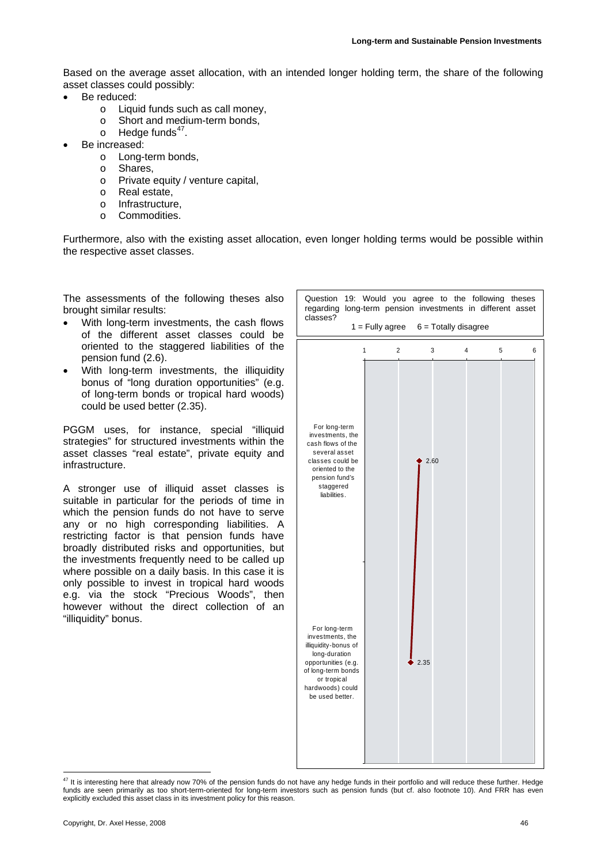Based on the average asset allocation, with an intended longer holding term, the share of the following asset classes could possibly:

- Be reduced:
	- o Liquid funds such as call money,
	- o Short and medium-term bonds,
	- $\circ$  Hedge funds<sup>47</sup>.
- Be increased:
	- o Long-term bonds,
	- o Shares,
		- o Private equity / venture capital,
		- o Real estate,
		- o Infrastructure,
		- o Commodities.

Furthermore, also with the existing asset allocation, even longer holding terms would be possible within the respective asset classes.

The assessments of the following theses also brought similar results:

- With long-term investments, the cash flows of the different asset classes could be oriented to the staggered liabilities of the pension fund (2.6).
- With long-term investments, the illiquidity bonus of "long duration opportunities" (e.g. of long-term bonds or tropical hard woods) could be used better (2.35).

PGGM uses, for instance, special "illiquid strategies" for structured investments within the asset classes "real estate", private equity and infrastructure.

A stronger use of illiquid asset classes is suitable in particular for the periods of time in which the pension funds do not have to serve any or no high corresponding liabilities. A restricting factor is that pension funds have broadly distributed risks and opportunities, but the investments frequently need to be called up where possible on a daily basis. In this case it is only possible to invest in tropical hard woods e.g. via the stock "Precious Woods", then however without the direct collection of an "illiquidity" bonus.



<span id="page-45-0"></span> $^{47}$  It is interesting here that already now 70% of the pension funds do not have any hedge funds in their portfolio and will reduce these further. Hedge funds are seen primarily as too short-term-oriented for long-term investors such as pension funds (but cf. also footnote 10). And FRR has even explicitly excluded this asset class in its investment policy for this reason.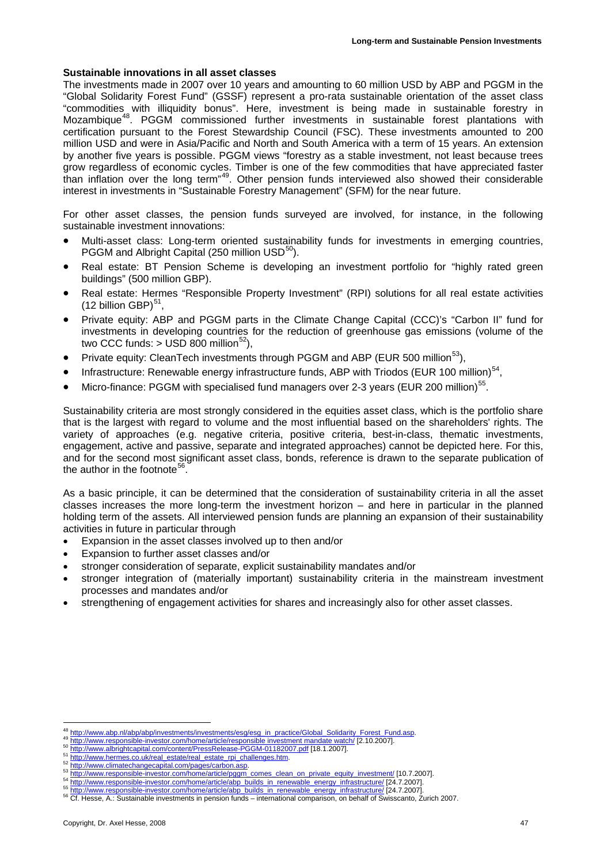#### **Sustainable innovations in all asset classes**

The investments made in 2007 over 10 years and amounting to 60 million USD by ABP and PGGM in the "Global Solidarity Forest Fund" (GSSF) represent a pro-rata sustainable orientation of the asset class "commodities with illiquidity bonus". Here, investment is being made in sustainable forestry in Mozambique<sup>[48](#page-46-0)</sup>. PGGM commissioned further investments in sustainable forest plantations with certification pursuant to the Forest Stewardship Council (FSC). These investments amounted to 200 million USD and were in Asia/Pacific and North and South America with a term of 15 years. An extension by another five years is possible. PGGM views "forestry as a stable investment, not least because trees grow regardless of economic cycles. Timber is one of the few commodities that have appreciated faster than inflation over the long term<sup>"[49](#page-46-1)</sup>. Other pension funds interviewed also showed their considerable interest in investments in "Sustainable Forestry Management" (SFM) for the near future.

For other asset classes, the pension funds surveyed are involved, for instance, in the following sustainable investment innovations:

- Multi-asset class: Long-term oriented sustainability funds for investments in emerging countries, PGGM and Albright Capital (250 million USD<sup>50</sup>).
- Real estate: BT Pension Scheme is developing an investment portfolio for "highly rated green buildings" (500 million GBP).
- Real estate: Hermes "Responsible Property Investment" (RPI) solutions for all real estate activities (12 billion GBP) $51$ ,
- Private equity: ABP and PGGM parts in the Climate Change Capital (CCC)'s "Carbon II" fund for investments in developing countries for the reduction of greenhouse gas emissions (volume of the two CCC funds:  $>$  USD 800 million<sup>[52](#page-46-4)</sup>),
- Private equity: CleanTech investments through PGGM and ABP (EUR 500 million<sup>53</sup>),
- Infrastructure: Renewable energy infrastructure funds, ABP with Triodos (EUR 100 million)<sup>54</sup>.
- Micro-finance: PGGM with specialised fund managers over 2-3 years (EUR 200 million)<sup>55</sup>.

Sustainability criteria are most strongly considered in the equities asset class, which is the portfolio share that is the largest with regard to volume and the most influential based on the shareholders' rights. The variety of approaches (e.g. negative criteria, positive criteria, best-in-class, thematic investments, engagement, active and passive, separate and integrated approaches) cannot be depicted here. For this, and for the second most significant asset class, bonds, reference is drawn to the separate publication of the author in the footnote<sup>[56](#page-46-8)</sup>.

As a basic principle, it can be determined that the consideration of sustainability criteria in all the asset classes increases the more long-term the investment horizon – and here in particular in the planned holding term of the assets. All interviewed pension funds are planning an expansion of their sustainability activities in future in particular through

- Expansion in the asset classes involved up to then and/or
- Expansion to further asset classes and/or
- stronger consideration of separate, explicit sustainability mandates and/or
- stronger integration of (materially important) sustainability criteria in the mainstream investment processes and mandates and/or
- strengthening of engagement activities for shares and increasingly also for other asset classes.

<sup>1</sup> 

<span id="page-46-2"></span><span id="page-46-1"></span>

<span id="page-46-4"></span><span id="page-46-3"></span>

<span id="page-46-0"></span><sup>48</sup> http://www.abp.nl/abp/abp/investments/investments/esg/esg\_in\_practice/Global\_Solidarity\_Forest\_Fund.asp.<br>49 http://www.responsible-investor.com/home/article/responsible-investment mandate watch/ [2.10.2007].<br>51 http://w

<span id="page-46-7"></span><span id="page-46-6"></span><span id="page-46-5"></span>

<span id="page-46-8"></span>